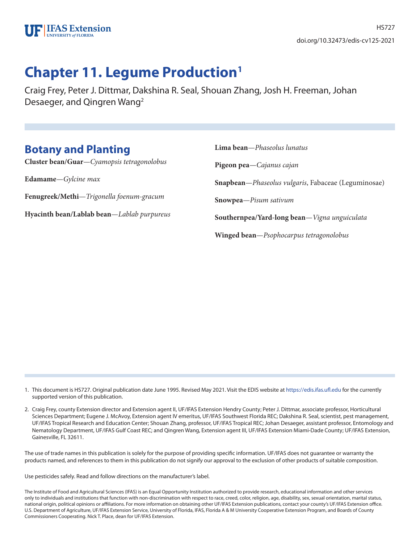

# **Chapter 11. Legume Production1**

Craig Frey, Peter J. Dittmar, Dakshina R. Seal, Shouan Zhang, Josh H. Freeman, Johan Desaeger, and Qingren Wang2

## **Botany and Planting**

**Cluster bean/Guar**—*Cyamopsis tetragonolobus*

**Edamame**—*Gylcine max*

**Fenugreek/Methi**—*Trigonella foenum-gracum*

**Hyacinth bean/Lablab bean**—*Lablab purpureus*

**Lima bean**—*Phaseolus lunatus* **Pigeon pea**—*Cajanus cajan* **Snapbean**—*Phaseolus vulgaris*, Fabaceae (Leguminosae) **Snowpea**—*Pisum sativum* **Southernpea/Yard-long bean**—*Vigna unguiculata* **Winged bean**—*Psophocarpus tetragonolobus*

1. This document is HS727. Original publication date June 1995. Revised May 2021. Visit the EDIS website at https://edis.ifas.ufl.edu for the currently supported version of this publication.

2. Craig Frey, county Extension director and Extension agent II, UF/IFAS Extension Hendry County; Peter J. Dittmar, associate professor, Horticultural Sciences Department; Eugene J. McAvoy, Extension agent IV emeritus, UF/IFAS Southwest Florida REC; Dakshina R. Seal, scientist, pest management, UF/IFAS Tropical Research and Education Center; Shouan Zhang, professor, UF/IFAS Tropical REC; Johan Desaeger, assistant professor, Entomology and Nematology Department, UF/IFAS Gulf Coast REC; and Qingren Wang, Extension agent III, UF/IFAS Extension Miami-Dade County; UF/IFAS Extension, Gainesville, FL 32611.

The use of trade names in this publication is solely for the purpose of providing specific information. UF/IFAS does not guarantee or warranty the products named, and references to them in this publication do not signify our approval to the exclusion of other products of suitable composition.

Use pesticides safely. Read and follow directions on the manufacturer's label.

The Institute of Food and Agricultural Sciences (IFAS) is an Equal Opportunity Institution authorized to provide research, educational information and other services only to individuals and institutions that function with non-discrimination with respect to race, creed, color, religion, age, disability, sex, sexual orientation, marital status, national origin, political opinions or affiliations. For more information on obtaining other UF/IFAS Extension publications, contact your county's UF/IFAS Extension office. U.S. Department of Agriculture, UF/IFAS Extension Service, University of Florida, IFAS, Florida A & M University Cooperative Extension Program, and Boards of County Commissioners Cooperating. Nick T. Place, dean for UF/IFAS Extension.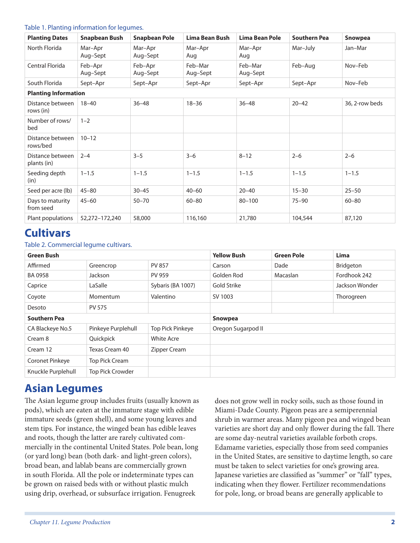#### Table 1. Planting information for legumes.

| <b>Planting Dates</b>           | <b>Snapbean Bush</b> | <b>Snapbean Pole</b> | Lima Bean Bush      | Lima Bean Pole      | <b>Southern Pea</b> | <b>Snowpea</b> |
|---------------------------------|----------------------|----------------------|---------------------|---------------------|---------------------|----------------|
| North Florida                   | Mar-Apr<br>Aug-Sept  | Mar-Apr<br>Aug-Sept  | Mar-Apr<br>Aug      | Mar-Apr<br>Aug      | Mar-July            | Jan-Mar        |
| Central Florida                 | Feb-Apr<br>Aug-Sept  | Feb-Apr<br>Aug-Sept  | Feb-Mar<br>Aug–Sept | Feb-Mar<br>Aug-Sept | Feb-Aug             | Nov-Feb        |
| South Florida                   | Sept-Apr             | Sept-Apr             | Sept-Apr            | Sept-Apr            | Sept-Apr            | Nov-Feb        |
| <b>Planting Information</b>     |                      |                      |                     |                     |                     |                |
| Distance between<br>rows (in)   | $18 - 40$            | $36 - 48$            | $18 - 36$           | $36 - 48$           | $20 - 42$           | 36, 2-row beds |
| Number of rows/<br>bed          | $1 - 2$              |                      |                     |                     |                     |                |
| Distance between<br>rows/bed    | $10 - 12$            |                      |                     |                     |                     |                |
| Distance between<br>plants (in) | $2 - 4$              | $3 - 5$              | $3 - 6$             | $8 - 12$            | $2 - 6$             | $2 - 6$        |
| Seeding depth<br>(in)           | $1 - 1.5$            | $1 - 1.5$            | $1 - 1.5$           | $1 - 1.5$           | $1 - 1.5$           | $1 - 1.5$      |
| Seed per acre (lb)              | $45 - 80$            | $30 - 45$            | $40 - 60$           | $20 - 40$           | $15 - 30$           | $25 - 50$      |
| Days to maturity<br>from seed   | $45 - 60$            | $50 - 70$            | $60 - 80$           | $80 - 100$          | $75 - 90$           | $60 - 80$      |
| Plant populations               | 52,272-172,240       | 58,000               | 116,160             | 21,780              | 104,544             | 87,120         |

### **Cultivars**

#### Table 2. Commercial legume cultivars.

| <b>Green Bush</b>   |                    |                   | <b>Yellow Bush</b> | <b>Green Pole</b> | Lima           |
|---------------------|--------------------|-------------------|--------------------|-------------------|----------------|
| Affirmed            | Greencrop          | <b>PV 857</b>     | Carson             | Dade              | Bridgeton      |
| BA 0958             | Jackson            | <b>PV 959</b>     | Golden Rod         | Macaslan          | Fordhook 242   |
| Caprice             | LaSalle            | Sybaris (BA 1007) | Gold Strike        |                   | Jackson Wonder |
| Coyote              | Momentum           | Valentino         | SV 1003            |                   | Thorogreen     |
| Desoto              | <b>PV 575</b>      |                   |                    |                   |                |
| <b>Southern Pea</b> |                    |                   | <b>Snowpea</b>     |                   |                |
| CA Blackeye No.5    | Pinkeye Purplehull | Top Pick Pinkeye  | Oregon Sugarpod II |                   |                |
| Cream 8             | Quickpick          | <b>White Acre</b> |                    |                   |                |
| Cream 12            | Texas Cream 40     | Zipper Cream      |                    |                   |                |
| Coronet Pinkeye     | Top Pick Cream     |                   |                    |                   |                |
| Knuckle Purplehull  | Top Pick Crowder   |                   |                    |                   |                |

### **Asian Legumes**

The Asian legume group includes fruits (usually known as pods), which are eaten at the immature stage with edible immature seeds (green shell), and some young leaves and stem tips. For instance, the winged bean has edible leaves and roots, though the latter are rarely cultivated commercially in the continental United States. Pole bean, long (or yard long) bean (both dark- and light-green colors), broad bean, and lablab beans are commercially grown in south Florida. All the pole or indeterminate types can be grown on raised beds with or without plastic mulch using drip, overhead, or subsurface irrigation. Fenugreek

does not grow well in rocky soils, such as those found in Miami-Dade County. Pigeon peas are a semiperennial shrub in warmer areas. Many pigeon pea and winged bean varieties are short day and only flower during the fall. There are some day-neutral varieties available forboth crops. Edamame varieties, especially those from seed companies in the United States, are sensitive to daytime length, so care must be taken to select varieties for one's growing area. Japanese varieties are classified as "summer" or "fall" types, indicating when they flower. Fertilizer recommendations for pole, long, or broad beans are generally applicable to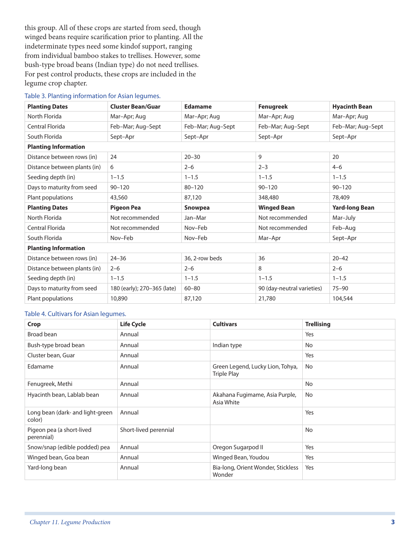this group. All of these crops are started from seed, though winged beans require scarification prior to planting. All the indeterminate types need some kindof support, ranging from individual bamboo stakes to trellises. However, some bush-type broad beans (Indian type) do not need trellises. For pest control products, these crops are included in the legume crop chapter.

#### Table 3. Planting information for Asian legumes.

| <b>Planting Dates</b>        | <b>Cluster Bean/Guar</b>    | <b>Edamame</b>    | <b>Fenugreek</b>           | <b>Hyacinth Bean</b>  |
|------------------------------|-----------------------------|-------------------|----------------------------|-----------------------|
| North Florida                | Mar-Apr; Aug                | Mar-Apr; Aug      | Mar-Apr; Aug               | Mar-Apr; Aug          |
| Central Florida              | Feb-Mar; Aug-Sept           | Feb-Mar; Aug-Sept | Feb-Mar; Aug-Sept          | Feb-Mar; Aug-Sept     |
| South Florida                | Sept-Apr                    | Sept-Apr          | Sept-Apr                   | Sept-Apr              |
| <b>Planting Information</b>  |                             |                   |                            |                       |
| Distance between rows (in)   | 24                          | $20 - 30$         | 9                          | 20                    |
| Distance between plants (in) | 6                           | $2 - 6$           | $2 - 3$                    | $4 - 6$               |
| Seeding depth (in)           | $1 - 1.5$                   | $1 - 1.5$         | $1 - 1.5$                  | $1 - 1.5$             |
| Days to maturity from seed   | $90 - 120$                  | $80 - 120$        | $90 - 120$                 | $90 - 120$            |
| Plant populations            | 43,560                      | 87,120            | 348,480                    | 78,409                |
| <b>Planting Dates</b>        | <b>Pigeon Pea</b>           | <b>Snowpea</b>    | <b>Winged Bean</b>         | <b>Yard-long Bean</b> |
| North Florida                | Not recommended             | Jan-Mar           | Not recommended            | Mar-July              |
| Central Florida              | Not recommended             | Nov-Feb           | Not recommended            | Feb-Aug               |
| South Florida                | Nov-Feb                     | Nov-Feb           | Mar-Apr                    | Sept-Apr              |
| <b>Planting Information</b>  |                             |                   |                            |                       |
| Distance between rows (in)   | $24 - 36$                   | 36, 2-row beds    | 36                         | $20 - 42$             |
| Distance between plants (in) | $2 - 6$                     | $2 - 6$           | 8                          | $2 - 6$               |
| Seeding depth (in)           | $1 - 1.5$                   | $1 - 1.5$         | $1 - 1.5$                  | $1 - 1.5$             |
| Days to maturity from seed   | 180 (early); 270-365 (late) | $60 - 80$         | 90 (day-neutral varieties) | $75 - 90$             |
| Plant populations            | 10,890                      | 87,120            | 21,780                     | 104,544               |

#### Table 4. Cultivars for Asian legumes.

| Crop                                       | <b>Life Cycle</b>     | <b>Cultivars</b>                                       | <b>Trellising</b> |
|--------------------------------------------|-----------------------|--------------------------------------------------------|-------------------|
| Broad bean                                 | Annual                |                                                        | Yes               |
| Bush-type broad bean                       | Annual                | Indian type                                            | No                |
| Cluster bean, Guar                         | Annual                |                                                        | Yes               |
| Edamame                                    | Annual                | Green Legend, Lucky Lion, Tohya,<br><b>Triple Play</b> | No                |
| Fenugreek, Methi                           | Annual                |                                                        | No                |
| Hyacinth bean, Lablab bean                 | Annual                | Akahana Fugimame, Asia Purple,<br>Asia White           | No                |
| Long bean (dark- and light-green<br>color) | Annual                |                                                        | Yes               |
| Pigeon pea (a short-lived<br>perennial)    | Short-lived perennial |                                                        | No                |
| Snow/snap (edible podded) pea              | Annual                | Oregon Sugarpod II                                     | Yes               |
| Winged bean, Goa bean                      | Annual                | Winged Bean, Youdou                                    | Yes               |
| Yard-long bean                             | Annual                | Bia-long, Orient Wonder, Stickless<br>Wonder           | Yes               |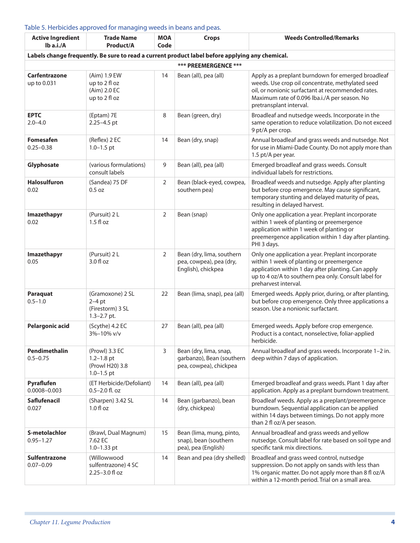#### Table 5. Herbicides approved for managing weeds in beans and peas.

| <b>Active Ingredient</b><br>Ib a.i./A | <b>Trade Name</b><br>Product/A                                        | <b>MOA</b><br>Code | <b>Crops</b>                                                                                    | <b>Weeds Controlled/Remarks</b>                                                                                                                                                                                                         |
|---------------------------------------|-----------------------------------------------------------------------|--------------------|-------------------------------------------------------------------------------------------------|-----------------------------------------------------------------------------------------------------------------------------------------------------------------------------------------------------------------------------------------|
|                                       |                                                                       |                    | Labels change frequently. Be sure to read a current product label before applying any chemical. |                                                                                                                                                                                                                                         |
|                                       |                                                                       |                    | *** PREEMERGENCE ***                                                                            |                                                                                                                                                                                                                                         |
| <b>Carfentrazone</b><br>up to 0.031   | (Aim) 1.9 EW<br>up to 2 fl oz<br>(Aim) 2.0 EC<br>up to 2 fl oz        | 14                 | Bean (all), pea (all)                                                                           | Apply as a preplant burndown for emerged broadleaf<br>weeds. Use crop oil concentrate, methylated seed<br>oil, or nonionic surfactant at recommended rates.<br>Maximum rate of 0.096 lba.i./A per season. No<br>pretransplant interval. |
| <b>EPTC</b><br>$2.0 - 4.0$            | (Eptam) 7E<br>2.25-4.5 pt                                             | 8                  | Bean (green, dry)                                                                               | Broadleaf and nutsedge weeds. Incorporate in the<br>same operation to reduce volatilization. Do not exceed<br>9 pt/A per crop.                                                                                                          |
| <b>Fomesafen</b><br>$0.25 - 0.38$     | (Reflex) 2 EC<br>$1.0 - 1.5$ pt                                       | 14                 | Bean (dry, snap)                                                                                | Annual broadleaf and grass weeds and nutsedge. Not<br>for use in Miami-Dade County. Do not apply more than<br>1.5 pt/A per year.                                                                                                        |
| Glyphosate                            | (various formulations)<br>consult labels                              | 9                  | Bean (all), pea (all)                                                                           | Emerged broadleaf and grass weeds. Consult<br>individual labels for restrictions.                                                                                                                                                       |
| <b>Halosulfuron</b><br>0.02           | (Sandea) 75 DF<br>0.5 oz                                              | 2                  | Bean (black-eyed, cowpea,<br>southern pea)                                                      | Broadleaf weeds and nutsedge. Apply after planting<br>but before crop emergence. May cause significant,<br>temporary stunting and delayed maturity of peas,<br>resulting in delayed harvest.                                            |
| Imazethapyr<br>0.02                   | (Pursuit) 2 L<br>$1.5f$ loz                                           | $\overline{2}$     | Bean (snap)                                                                                     | Only one application a year. Preplant incorporate<br>within 1 week of planting or preemergence<br>application within 1 week of planting or<br>preemergence application within 1 day after planting.<br>PHI 3 days.                      |
| Imazethapyr<br>0.05                   | (Pursuit) 2 L<br>$3.0 f$ l oz                                         | 2                  | Bean (dry, lima, southern<br>pea, cowpea), pea (dry,<br>English), chickpea                      | Only one application a year. Preplant incorporate<br>within 1 week of planting or preemergence<br>application within 1 day after planting. Can apply<br>up to 4 oz/A to southern pea only. Consult label for<br>preharvest interval.    |
| <b>Paraquat</b><br>$0.5 - 1.0$        | (Gramoxone) 2 SL<br>$2-4$ pt<br>(Firestorm) 3 SL<br>$1.3 - 2.7$ pt.   | 22                 | Bean (lima, snap), pea (all)                                                                    | Emerged weeds. Apply prior, during, or after planting,<br>but before crop emergence. Only three applications a<br>season. Use a nonionic surfactant.                                                                                    |
| <b>Pelargonic acid</b>                | (Scythe) 4.2 EC<br>3%-10% v/v                                         | 27                 | Bean (all), pea (all)                                                                           | Emerged weeds. Apply before crop emergence.<br>Product is a contact, nonselective, foliar-applied<br>herbicide.                                                                                                                         |
| Pendimethalin<br>$0.5 - 0.75$         | (Prowl) 3.3 EC<br>$1.2 - 1.8$ pt<br>(Prowl H20) 3.8<br>$1.0 - 1.5$ pt | 3                  | Bean (dry, lima, snap,<br>garbanzo), Bean (southern<br>pea, cowpea), chickpea                   | Annual broadleaf and grass weeds. Incorporate 1-2 in.<br>deep within 7 days of application.                                                                                                                                             |
| Pyraflufen<br>$0.0008 - 0.003$        | (ET Herbicide/Defoliant)<br>$0.5 - 2.0$ fl. oz                        | 14                 | Bean (all), pea (all)                                                                           | Emerged broadleaf and grass weeds. Plant 1 day after<br>application. Apply as a preplant burndown treatment.                                                                                                                            |
| <b>Saflufenacil</b><br>0.027          | (Sharpen) 3.42 SL<br>$1.0 f$ l oz                                     | 14                 | Bean (garbanzo), bean<br>(dry, chickpea)                                                        | Broadleaf weeds. Apply as a preplant/preemergence<br>burndown. Sequential application can be applied<br>within 14 days between timings. Do not apply more<br>than 2 fl oz/A per season.                                                 |
| S-metolachlor<br>$0.95 - 1.27$        | (Brawl, Dual Magnum)<br>7.62 EC<br>$1.0 - 1.33$ pt                    | 15                 | Bean (lima, mung, pinto,<br>snap), bean (southern<br>pea), pea (English)                        | Annual broadleaf and grass weeds and yellow<br>nutsedge. Consult label for rate based on soil type and<br>specific tank mix directions.                                                                                                 |
| <b>Sulfentrazone</b><br>$0.07 - 0.09$ | (Willowwood<br>sulfentrazone) 4 SC<br>2.25-3.0 fl oz                  | 14                 | Bean and pea (dry shelled)                                                                      | Broadleaf and grass weed control, nutsedge<br>suppression. Do not apply on sands with less than<br>1% organic matter. Do not apply more than 8 fl oz/A<br>within a 12-month period. Trial on a small area.                              |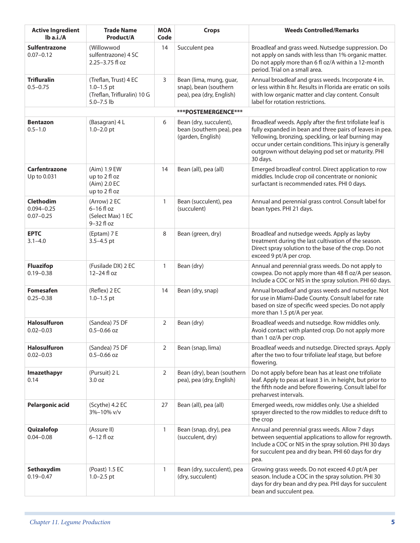| <b>Active Ingredient</b><br>lb a.i./A               | <b>Trade Name</b><br>Product/A                                                           | <b>MOA</b><br>Code | <b>Crops</b>                                                                 | <b>Weeds Controlled/Remarks</b>                                                                                                                                                                                                                                                                            |
|-----------------------------------------------------|------------------------------------------------------------------------------------------|--------------------|------------------------------------------------------------------------------|------------------------------------------------------------------------------------------------------------------------------------------------------------------------------------------------------------------------------------------------------------------------------------------------------------|
| <b>Sulfentrazone</b><br>$0.07 - 0.12$               | (Willowwod<br>sulfentrazone) 4 SC<br>2.25-3.75 fl oz                                     | 14                 | Succulent pea                                                                | Broadleaf and grass weed. Nutsedge suppression. Do<br>not apply on sands with less than 1% organic matter.<br>Do not apply more than 6 fl oz/A within a 12-month<br>period. Trial on a small area.                                                                                                         |
| <b>Trifluralin</b><br>$0.5 - 0.75$                  | (Treflan, Trust) 4 EC<br>$1.0 - 1.5$ pt<br>(Treflan, Trifluralin) 10 G<br>$5.0 - 7.5$ lb | 3                  | Bean (lima, mung, guar,<br>snap), bean (southern<br>pea), pea (dry, English) | Annual broadleaf and grass weeds. Incorporate 4 in.<br>or less within 8 hr. Results in Florida are erratic on soils<br>with low organic matter and clay content. Consult<br>label for rotation restrictions.                                                                                               |
|                                                     |                                                                                          |                    | ***POSTEMERGENCE***                                                          |                                                                                                                                                                                                                                                                                                            |
| <b>Bentazon</b><br>$0.5 - 1.0$                      | (Basagran) 4 L<br>$1.0 - 2.0$ pt                                                         | 6                  | Bean (dry, succulent),<br>bean (southern pea), pea<br>(garden, English)      | Broadleaf weeds. Apply after the first trifoliate leaf is<br>fully expanded in bean and three pairs of leaves in pea.<br>Yellowing, bronzing, speckling, or leaf burning may<br>occur under certain conditions. This injury is generally<br>outgrown without delaying pod set or maturity. PHI<br>30 days. |
| Carfentrazone<br>Up to 0.031                        | (Aim) 1.9 EW<br>up to 2 fl oz<br>(Aim) 2.0 EC<br>up to 2 fl oz                           | 14                 | Bean (all), pea (all)                                                        | Emerged broadleaf control. Direct application to row<br>middles. Include crop oil concentrate or nonionic<br>surfactant is recommended rates. PHI 0 days.                                                                                                                                                  |
| <b>Clethodim</b><br>$0.094 - 0.25$<br>$0.07 - 0.25$ | (Arrow) 2 EC<br>$6-16$ fl oz<br>(Select Max) 1 EC<br>9-32 fl oz                          | $\mathbf{1}$       | Bean (succulent), pea<br>(succulent)                                         | Annual and perennial grass control. Consult label for<br>bean types. PHI 21 days.                                                                                                                                                                                                                          |
| <b>EPTC</b><br>$3.1 - 4.0$                          | (Eptam) 7 E<br>$3.5 - 4.5$ pt                                                            | 8                  | Bean (green, dry)                                                            | Broadleaf and nutsedge weeds. Apply as layby<br>treatment during the last cultivation of the season.<br>Direct spray solution to the base of the crop. Do not<br>exceed 9 pt/A per crop.                                                                                                                   |
| <b>Fluazifop</b><br>$0.19 - 0.38$                   | (Fusilade DX) 2 EC<br>12-24 fl oz                                                        | $\mathbf{1}$       | Bean (dry)                                                                   | Annual and perennial grass weeds. Do not apply to<br>cowpea. Do not apply more than 48 fl oz/A per season.<br>Include a COC or NIS in the spray solution. PHI 60 days.                                                                                                                                     |
| <b>Fomesafen</b><br>$0.25 - 0.38$                   | (Reflex) 2 EC<br>$1.0 - 1.5$ pt                                                          | 14                 | Bean (dry, snap)                                                             | Annual broadleaf and grass weeds and nutsedge. Not<br>for use in Miami-Dade County. Consult label for rate<br>based on size of specific weed species. Do not apply<br>more than 1.5 pt/A per year.                                                                                                         |
| <b>Halosulfuron</b><br>$0.02 - 0.03$                | (Sandea) 75 DF<br>$0.5 - 0.66$ oz                                                        | $\overline{2}$     | Bean (dry)                                                                   | Broadleaf weeds and nutsedge. Row middles only.<br>Avoid contact with planted crop. Do not apply more<br>than 1 oz/A per crop.                                                                                                                                                                             |
| <b>Halosulfuron</b><br>$0.02 - 0.03$                | (Sandea) 75 DF<br>$0.5 - 0.66$ oz                                                        | $\overline{2}$     | Bean (snap, lima)                                                            | Broadleaf weeds and nutsedge. Directed sprays. Apply<br>after the two to four trifoliate leaf stage, but before<br>flowering.                                                                                                                                                                              |
| Imazethapyr<br>0.14                                 | (Pursuit) 2 L<br>3.0 oz                                                                  | $\overline{2}$     | Bean (dry), bean (southern<br>pea), pea (dry, English)                       | Do not apply before bean has at least one trifoliate<br>leaf. Apply to peas at least 3 in. in height, but prior to<br>the fifth node and before flowering. Consult label for<br>preharvest intervals.                                                                                                      |
| <b>Pelargonic acid</b>                              | (Scythe) 4.2 EC<br>3%-10% v/v                                                            | 27                 | Bean (all), pea (all)                                                        | Emerged weeds, row middles only. Use a shielded<br>sprayer directed to the row middles to reduce drift to<br>the crop                                                                                                                                                                                      |
| Quizalofop<br>$0.04 - 0.08$                         | (Assure II)<br>$6-12$ fl oz                                                              | $\mathbf{1}$       | Bean (snap, dry), pea<br>(succulent, dry)                                    | Annual and perennial grass weeds. Allow 7 days<br>between sequential applications to allow for regrowth.<br>Include a COC or NIS in the spray solution. PHI 30 days<br>for succulent pea and dry bean. PHI 60 days for dry<br>pea.                                                                         |
| Sethoxydim<br>$0.19 - 0.47$                         | (Poast) 1.5 EC<br>$1.0 - 2.5$ pt                                                         | $\mathbf{1}$       | Bean (dry, succulent), pea<br>(dry, succulent)                               | Growing grass weeds. Do not exceed 4.0 pt/A per<br>season. Include a COC in the spray solution. PHI 30<br>days for dry bean and dry pea. PHI days for succulent<br>bean and succulent pea.                                                                                                                 |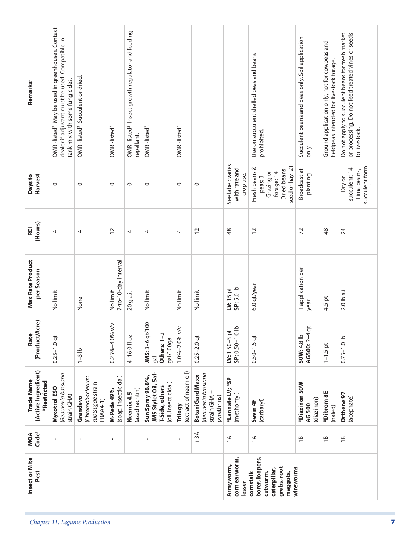| Remarks <sup>2</sup>                                    | OMRI-listed <sup>2</sup> . May be used in greenhouses. Contact<br>dealer if adjuvant must be used. Compatible in<br>tank mix with some fungicides. | OMRI-listed <sup>2</sup> . Succulent or dried.              | OMRI-listed <sup>2</sup>                  | OMRI-listed <sup>2</sup> . Insect growth regulator and feeding<br>repellant. | OMRI-listed <sup>2</sup> .                                                        | OMRI-listed <sup>2</sup> .       |                                                                             |                                                 | Use on succulent shelled peas and beans<br>prohibited.                                 | Succulent beans and peas only. Soil application<br>only. | Ground application only, not for cowpeas and<br>fieldpeas intended for livestock forage. | Do not apply to succulent beans for fresh market<br>or processing. Do not feed treated vines or seeds<br>to livestock. |
|---------------------------------------------------------|----------------------------------------------------------------------------------------------------------------------------------------------------|-------------------------------------------------------------|-------------------------------------------|------------------------------------------------------------------------------|-----------------------------------------------------------------------------------|----------------------------------|-----------------------------------------------------------------------------|-------------------------------------------------|----------------------------------------------------------------------------------------|----------------------------------------------------------|------------------------------------------------------------------------------------------|------------------------------------------------------------------------------------------------------------------------|
| <b>Harvest</b><br>Days to                               | $\circ$                                                                                                                                            | $\circ$                                                     | $\circ$                                   | $\circ$                                                                      | $\circ$                                                                           | $\circ$                          | 0                                                                           | See label: varies<br>with rate and<br>crop use. | seed or hay: 21<br>Fresh beans &<br>Dried beans<br>Grazing or<br>forage: 14<br>peas: 3 | Broadcast at<br>planting                                 | $\overline{ }$                                                                           | succulent form:<br>succulent: 14<br>Lima beans,<br>Dry or                                                              |
| (Hours)<br>REI                                          | 4                                                                                                                                                  | 4                                                           | $\overline{c}$                            | 4                                                                            | 4                                                                                 | 4                                | $\overline{c}$                                                              | $\frac{8}{3}$                                   | 12                                                                                     | 72                                                       | 48                                                                                       | 24                                                                                                                     |
| Max Rate Product<br>per Season                          | No limit                                                                                                                                           | None                                                        | 7-to-10-day interval<br>No limit          | 20 g a.i.                                                                    | No limit                                                                          | No limit                         | No limit                                                                    | SP: 5.0 lb<br>$IV: 15$ pt                       | 6.0 qt/year                                                                            | 1 application per<br>year                                | 4.5 pt                                                                                   | 2.0 lb a.i.                                                                                                            |
| (Product/Acre)<br>Rate                                  | $0.25 - 1.0$ qt                                                                                                                                    | $1-3$ lb                                                    | $\leq$<br>$0.25\% - 4.0\%$                | 4-16.0 fl oz                                                                 | JMS: 3-6 qt/100<br>Others: 1-2<br>gal/100gal<br>gal                               | 1.0%-2.0% v/v                    | $0.25 - 2.0$ qt                                                             | LV: $1.50-3$ pt<br>SP: $0.50-1.0$ lb            | $0.50 - 1.5$ qt                                                                        | $\overline{5}$<br>AG500:2-4<br>50W:4.8 lb                | $1 - 1.5$ pt                                                                             | $0.75 - 1.0$ lb                                                                                                        |
| (Active Ingredient)<br><b>Trade Name</b><br>*Restricted | Beauveria bassiana<br>Mycotrol ESO<br>strain GHA)                                                                                                  | Chromobacterium<br>subtsugae strain<br>Grandevo<br>PRAA4-1) | (soap, insecticidal)<br><b>M-Pede 49%</b> | (azadirachtin)<br>Neemix 4.5                                                 | JMS Stylet Oil, Saf-<br>Sun Spray 98.8%,<br>(oil, insecticidal)<br>T-Side, others | (extract of neem oil)<br>Trilogy | Beauveria bassiana<br><b>BotaniGard Maxx</b><br>strain GHA +<br>pyrethrins) | *Lannate LV; *SP<br>(methomyl)                  | (carbaryl)<br>Sevin <sub>4F</sub>                                                      | *Diazinon 50W<br>(diazinon)<br>AG 500                    | *Dibrom 8E<br>(naled)                                                                    | Orthene 97<br>(acephate)                                                                                               |
| Code <sup>1</sup><br>MOA                                | $\mathbf{I}$                                                                                                                                       | $\,$                                                        | $\mathbf{I}$                              | $\mathsf I$                                                                  | $\mathsf I$                                                                       | $\mathbf{I}$                     | $-1$ 3A                                                                     | $\leq$                                          | $\leq$                                                                                 | $\overline{18}$                                          | $\overline{18}$                                                                          | $\overline{18}$                                                                                                        |
| Insect or Mite<br>Pest                                  |                                                                                                                                                    |                                                             |                                           |                                                                              |                                                                                   |                                  |                                                                             | corn earworm,<br>Armyworm,<br>lesser            | borer, loopers,<br>grubs, root<br>caterpillar,<br>cutworm,<br>maggots,<br>cornstalk    | wireworms                                                |                                                                                          |                                                                                                                        |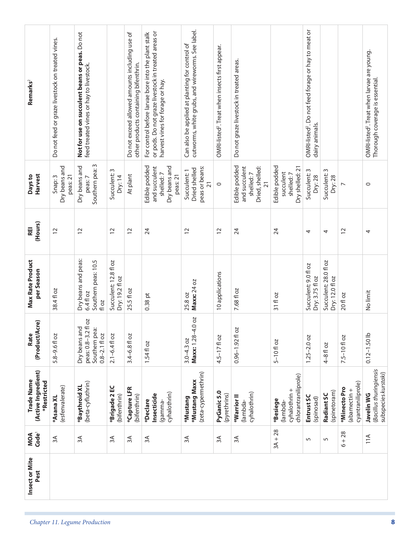| Remarks <sup>2</sup>                             | Do not feed or graze livestock on treated vines. | Not for use on succulent beans or peas. Do not<br>feed treated vines or hay to livestock. |                                          | Do not exceed allowed amounts including use of<br>other products containing bifenthrin. | or pods. Do not graze livestock in treated areas or<br>For control before larvae bore into the plant stalk<br>harvest vines for forage or hay. | cutworms, white grubs, and wireworms. See label.<br>Can also be applied at planting for control of | OMRI-listed <sup>2</sup> . Treat when insects first appear. | Do not graze livestock in treated areas.                                          |                                                              | OMRI-listed <sup>2</sup> . Do not feed forage or hay to meat or<br>dairy animals. |                                          |                                                   | OMRI-listed <sup>2</sup> . Treat when larvae are young.<br>Thorough coverage is essential. |
|--------------------------------------------------|--------------------------------------------------|-------------------------------------------------------------------------------------------|------------------------------------------|-----------------------------------------------------------------------------------------|------------------------------------------------------------------------------------------------------------------------------------------------|----------------------------------------------------------------------------------------------------|-------------------------------------------------------------|-----------------------------------------------------------------------------------|--------------------------------------------------------------|-----------------------------------------------------------------------------------|------------------------------------------|---------------------------------------------------|--------------------------------------------------------------------------------------------|
| Harvest<br>Days to                               | Dry beans and<br>peas: 21<br>Snap: 3             | w<br>Dry beans and<br>Southern pea:<br>peas: 7                                            | Succulent: 3<br>Dry: 14                  | At plant                                                                                | Edible podded<br>Dry beans and<br>and succulent<br>shelled:7<br>peas: 21                                                                       | peas or beans:<br>Dried shelled<br>Succulent: 1<br>$\overline{21}$                                 | $\circ$                                                     | Edible podded<br>Dried, shelled:<br>and succulent<br>shelled:7<br>$\overline{21}$ | Edible podded<br>Dry shelled: 21<br>succulent<br>shelled:7   | Succulent: 3<br>Dry: 28                                                           | Succulent: 3<br>Dry: 28                  | $\overline{ }$                                    | $\circ$                                                                                    |
| (Hours)<br>REI                                   | 12                                               | $\overline{C}$                                                                            | $\overline{c}$                           | $\overline{12}$                                                                         | 24                                                                                                                                             | 12                                                                                                 | $\overline{c}$                                              | 24                                                                                | 24                                                           | 4                                                                                 | 4                                        | $\overline{C}$                                    | 4                                                                                          |
| Max Rate Product<br>per Season                   | 38.4 fl oz                                       | Dry beans and peas:<br>Southern peas: 10.5<br>6.4 fl oz<br>fl oz                          | Succulent: 12.8 fl oz<br>Dry: 19.2 fl oz | 25.5 fl oz                                                                              | $0.38$ pt                                                                                                                                      | Maxx: 24 oz<br>25.8 oz                                                                             | 10 applications                                             | 7.68 fl oz                                                                        | 31 fl oz                                                     | Succulent: 9.0 fl oz<br>Dry: 3.75 fl oz                                           | Succulent: 28.0 fl oz<br>Dry: 12.0 fl oz | 20 fl oz                                          | No limit                                                                                   |
| (Product/Acre)<br>Rate                           | 5.8-9.6 fl oz                                    | peas: 0.8-3.2 fl oz<br>Dry beans and<br>Southern pea:<br>$0.8 - 2.1$ fl oz                | $2.1 - 6.4$ fl oz                        | $3.4 - 6.8$ fl oz                                                                       | 1.54 fl oz                                                                                                                                     | $-4.0$ oz<br>Maxx: 1.28-<br>$3.0 - 4.3$ oz                                                         | $4.5 - 17f$ oz                                              | <b>DZ</b><br>$0.96 - 1.92$ fl                                                     | $5 - 10f$ oz                                                 | $1.25 - 2.0$ oz                                                                   | $4-8f$ oz                                | 7.5-10 fl oz                                      | $0.12 - 1.50$ lb                                                                           |
| (Active Ingredient)<br>Trade Name<br>*Restricted | (esfenvalerate)<br>*Asana XL                     | (beta-cyfluthrin)<br>*Baythroid XL                                                        | *Brigade 2 EC<br>(bifenthrin)            | *Capture LFR<br>(bifenthrin)                                                            | cyhalothrin)<br>Insecticide<br>*Declare<br>(gamma-                                                                                             | (zeta-cypermethrin)<br>*Mustang Maxx<br>*Mustang                                                   | PyGanic 5.0<br>(pyrethrins)                                 | cyhalothrin)<br>*Warrior <sup>II</sup><br>(lambda-                                | chlorantraniliprole)<br>cyhalothrin +<br>*Besiege<br>lambda) | Entrust SC<br>(spinosad)                                                          | (spinetoram)<br>Radiant SC               | cyantraniliprole)<br>*Minecto Pro<br>(abamectin + | (Bacillus thuringiensis<br>subspecies kurstaki)<br>Javelin WG                              |
| Code <sup>1</sup><br>MOA                         | λξ                                               | 3A                                                                                        | 3A                                       | 3A                                                                                      | 3A                                                                                                                                             | 3A                                                                                                 | 3A                                                          | 3A                                                                                | $3A + 28$                                                    | 5                                                                                 | 5                                        | $6 + 28$                                          | 11A                                                                                        |
| Insect or Mite<br>Pest                           |                                                  |                                                                                           |                                          |                                                                                         |                                                                                                                                                |                                                                                                    |                                                             |                                                                                   |                                                              |                                                                                   |                                          |                                                   |                                                                                            |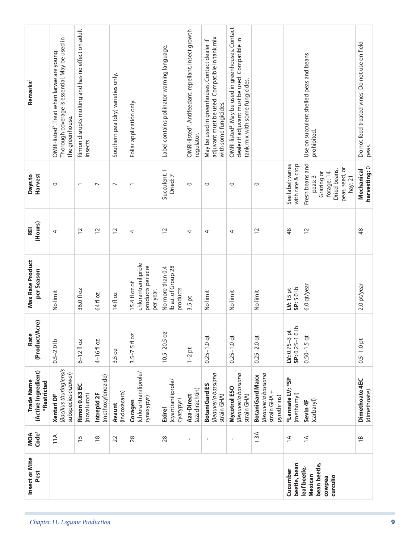| Remarks <sup>2</sup>                             | Thorough coverage is essential. May be used in<br>OMRI-listed <sup>2</sup> . Treat when larvae are young.<br>the greenhouse. | Rimon disrupts molting and has no effect on adult<br>insects. |                                  | Southern pea (dry) varieties only. | Foliar application only.                                               | Label contains pollinator warning language.         | OMRI-listed <sup>2</sup> . Antifeedant, repellant, insect growth<br>regulator. | adjuvant must be used. Compatible in tank mix<br>May be used in greenhouses. Contact dealer if<br>with some fungicides. | OMRI-listed <sup>2</sup> . May be used in greenhouses. Contact<br>dealer if adjuvant must be used. Compatible in<br>tank mix with some fungicides. |                                                                             |                                          | Use on succulent shelled peas and beans<br>prohibited.                                              | Do not feed treated vines. Do not use on field<br>peas. |
|--------------------------------------------------|------------------------------------------------------------------------------------------------------------------------------|---------------------------------------------------------------|----------------------------------|------------------------------------|------------------------------------------------------------------------|-----------------------------------------------------|--------------------------------------------------------------------------------|-------------------------------------------------------------------------------------------------------------------------|----------------------------------------------------------------------------------------------------------------------------------------------------|-----------------------------------------------------------------------------|------------------------------------------|-----------------------------------------------------------------------------------------------------|---------------------------------------------------------|
| <b>Harvest</b><br>Days to                        | $\circ$                                                                                                                      |                                                               | $\overline{ }$                   | $\overline{ }$                     | $\overline{\phantom{0}}$                                               | Succulent: 1<br>Dried: 7                            | $\circ$                                                                        | $\circ$                                                                                                                 | $\circ$                                                                                                                                            | $\circ$                                                                     | See label; varies<br>with rate & crop    | Fresh beans and<br>peas, seed, or<br>Dried beans,<br>Grazing or<br>forage: 14<br>peas: 3<br>hay: 21 | harvesting: 0<br>Mechanical                             |
| (Hours)<br>REI                                   | 4                                                                                                                            | $\overline{c}$                                                | $\overline{c}$                   | $\overline{c}$                     | 4                                                                      | $\overline{c}$                                      | 4                                                                              | 4                                                                                                                       | 4                                                                                                                                                  | $\tilde{c}$                                                                 | $\frac{8}{3}$                            | 12                                                                                                  | $\frac{8}{3}$                                           |
| Max Rate Product<br>per Season                   | No limit                                                                                                                     | 36.0 fl oz                                                    | 64 fl oz                         | 14 fl oz                           | chlorantraniliprole<br>products per acre<br>15.4 fl oz of<br>per year. | lb a.i. of Group 28<br>No more than 0.4<br>products | $3.5$ pt                                                                       | No limit                                                                                                                | No limit                                                                                                                                           | No limit                                                                    | SP: 5.0 lb<br>$IV: 15$ pt                | 6.0 qt/year                                                                                         | 2.0 pt/year                                             |
| (Product/Acre)<br>Rate                           | $0.5 - 2.0$ lb                                                                                                               | $6 - 12$ fl oz                                                | 4-16floz                         | 3.5 oz                             | $3.5 - 7.5$ fl oz                                                      | $10.5 - 20.5$ oz                                    | $1-2$ pt                                                                       | $0.25 - 1.0$ qt                                                                                                         | $0.25 - 1.0$ qt                                                                                                                                    | $0.25 - 2.0$ qt                                                             | SP: 0.25-1.0 lb<br>÷<br>$LV: 0.75 - 3 p$ | $0.50 - 1.5$ qt                                                                                     | $0.5 - 1.0$ pt                                          |
| (Active Ingredient)<br>Trade Name<br>*Restricted | (Bacillus thuringiensis<br>subspecies aizawai)<br>Xentari DF                                                                 | <b>Rimon 0.83 EC</b><br>(novaluron)                           | (methoxyfenozide)<br>Intrepid 2F | (indoxacarb)<br>Avaunt             | (chlorantraniliprole/<br>rynaxypyr)<br>Coragen                         | (cyantraniliprole/<br>cyazypyr)<br><b>Exirel</b>    | (azadirachtin)<br>Aza-Direct                                                   | Beauveria bassiana<br><b>BotaniGard ES</b><br>strain GHA)                                                               | Beauveria bassiana<br>Mycotrol ESO<br>strain GHA)                                                                                                  | Beauveria bassiana<br><b>BotaniGard Maxx</b><br>strain GHA +<br>pyrethrins) | *Lannate LV; *SP<br>(methomyl)           | (carbaryl)<br>Sevin <sub>4F</sub>                                                                   | Dimethoate 4EC<br>(dimethoate)                          |
| Code <sup>1</sup><br>MOA                         | 11A                                                                                                                          | $\overline{15}$                                               | $\frac{8}{1}$                    | 22                                 | 28                                                                     | 28                                                  | $\mathbf{I}$                                                                   | $\mathbf{I}$                                                                                                            | $\blacksquare$                                                                                                                                     | $-1$ 3A                                                                     | $\leq$                                   | $\leq$                                                                                              | $\overline{18}$                                         |
| Insect or Mite<br>Pest                           |                                                                                                                              |                                                               |                                  |                                    |                                                                        |                                                     |                                                                                |                                                                                                                         |                                                                                                                                                    |                                                                             | beetle, bean<br>Cucumber                 | bean beetle,<br>leaf beetle,<br>Mexican<br>curculio<br>cowpea                                       |                                                         |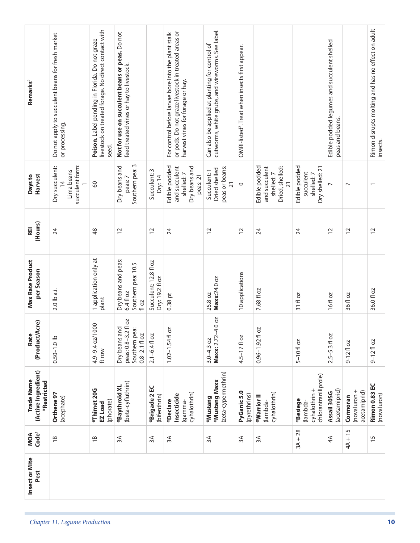| Remarks <sup>2</sup>                             | Do not apply to succulent beans for fresh market<br>or processing.                            | livestock on treated forage. No direct contact with<br>Poison. Label pending in Florida. Do not graze<br>seed. | Not for use on succulent beans or peas. Do not<br>feed treated vines or hay to livestock. |                                                 | or pods. Do not graze livestock in treated areas or<br>For control before larvae bore into the plant stalk<br>harvest vines for forage or hay. | cutworms, white grubs, and wireworms. See label.<br>Can also be applied at planting for control of | OMRI-listed <sup>2</sup> . Treat when insects first appear. |                                                                                   |                                                              | Edible podded legumes and succulent shelled<br>peas and beans. |                                          | Rimon disrupts molting and has no effect on adult<br>insects. |
|--------------------------------------------------|-----------------------------------------------------------------------------------------------|----------------------------------------------------------------------------------------------------------------|-------------------------------------------------------------------------------------------|-------------------------------------------------|------------------------------------------------------------------------------------------------------------------------------------------------|----------------------------------------------------------------------------------------------------|-------------------------------------------------------------|-----------------------------------------------------------------------------------|--------------------------------------------------------------|----------------------------------------------------------------|------------------------------------------|---------------------------------------------------------------|
| Harvest<br>Days to                               | succulent form:<br>Dry succulent:<br>Lima beans<br>$\overline{4}$<br>$\overline{\phantom{0}}$ | 80                                                                                                             | S<br>Dry beans and<br>Southern pea:<br>peas: 7                                            | Succulent: 3<br>Dry: 14                         | Edible podded<br>Dry beans and<br>and succulent<br>shelled:7<br>peas: 21                                                                       | peas or beans:<br>Dried shelled<br>Succulent: 1<br>$\overline{21}$                                 | $\circ$                                                     | Edible podded<br>Dried, shelled:<br>and succulent<br>shelled:7<br>$\overline{21}$ | Edible podded<br>Dry shelled: 21<br>succulent<br>shelled:7   | $\overline{\phantom{a}}$                                       | $\overline{ }$                           |                                                               |
| (Hours)<br><b>REI</b>                            | 24                                                                                            | \$                                                                                                             | $\approx$                                                                                 | $\overline{c}$                                  | 24                                                                                                                                             | $\approx$                                                                                          | $\overline{c}$                                              | 24                                                                                | 24                                                           | $\overline{c}$                                                 | $\overline{C}$                           | $\overline{c}$                                                |
| <b>Max Rate Product</b><br>per Season            | 2.0 lb a.i.                                                                                   | 1 application only at<br>plant                                                                                 | Dry beans and peas:<br>Southern pea: 10.5<br>6.4 fl oz<br>fl oz                           | Succulent: 12.8 fl oz<br>Dry: 19.2 fl oz        | $0.38$ pt                                                                                                                                      | Maxx:24.0 oz<br>25.8 oz                                                                            | 10 applications                                             | 7.68 fl oz                                                                        | 31 fl oz                                                     | 16fl oz                                                        | 36 fl oz                                 | 36.0 fl oz                                                    |
| (Product/Acre)<br>Rate                           | $0.50 - 1.0$ lb                                                                               | 4.9-9.4 oz/1000<br>ft row                                                                                      | peas: 0.8-3.2 fl oz<br>Dry beans and<br>Southern pea:<br>$0.8 - 2.1$ fl oz                | $2.1 - 6.4$ fl oz                               | <b>DZ</b><br>$1.02 - 1.54$ fl                                                                                                                  | 4.0 oz<br>Maxx: 2.72<br>$3.0 - 4.3$ oz                                                             | $4.5 - 17f$ oz                                              | b <sub>2</sub><br>$0.96 - 1.92$ fl                                                | $5 - 10f$ oz                                                 | $2.5 - 5.3$ floz                                               | $9-12f$ loz                              | $9 - 12f$ oz                                                  |
| (Active Ingredient)<br>Trade Name<br>*Restricted | Orthene 97<br>(acephate)                                                                      | *Thimet 20G<br>(phorate)<br>EZ Load                                                                            | (beta-cyfluthrin)<br>*Baythroid XL                                                        | ں<br>E<br>*Brigade <sub>2</sub><br>(bifenthrin) | cyhalothrin)<br>Insecticide<br>*Declare<br>lgamma-                                                                                             | (zeta-cypermethrin)<br>*Mustang Maxx<br>*Mustang                                                   | PyGanic 5.0<br>(pyrethrins)                                 | cyhalothrin)<br>*Warrior II<br>lambda-                                            | chlorantraniliprole)<br>cyhalothrin +<br>*Besiege<br>lambda- | (acetamiprid)<br>Assail 30SG                                   | (novaluron +<br>acetamiprid)<br>Cormoran | Rimon 0.83 EC<br>(novaluron)                                  |
| Code <sup>1</sup><br>MOA                         | $\overline{18}$                                                                               | $\overline{18}$                                                                                                | 3A                                                                                        | 3A                                              | 3A                                                                                                                                             | 3A                                                                                                 | 3A                                                          | 3A                                                                                | $3A + 28$                                                    | 4A                                                             | $4A + 15$                                | $\overline{1}$                                                |
| Insect or Mite<br>Pest                           | Chapter 11. Legume Production                                                                 |                                                                                                                |                                                                                           |                                                 |                                                                                                                                                |                                                                                                    |                                                             |                                                                                   |                                                              |                                                                |                                          | 10                                                            |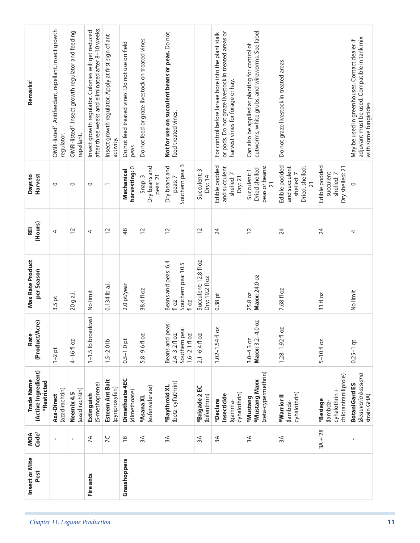| Insect or Mite<br>Pest | MOA<br>Code <sup>1</sup> | (Active Ingredient)<br>Trade Name<br>*Restricted             | (Product/Acre)<br>Rate                                                    | <b>Max Rate Product</b><br>per Season                       | (Hours)<br>REI | Harvest<br>Days to                                                                | Remarks <sup>2</sup>                                                                                                                           |
|------------------------|--------------------------|--------------------------------------------------------------|---------------------------------------------------------------------------|-------------------------------------------------------------|----------------|-----------------------------------------------------------------------------------|------------------------------------------------------------------------------------------------------------------------------------------------|
|                        | 1                        | (azadirachtin)<br>Aza-Direct                                 | $1-2$ pt                                                                  | $3.5$ pt                                                    | 4              | $\circ$                                                                           | OMRI-listed <sup>2</sup> . Antifeedant, repellant, insect growth<br>regulator.                                                                 |
|                        | $\mathbf I$              | (azadirachtin)<br>Neemix 4.5                                 | 4-16floz                                                                  | 20 g a.i.                                                   | $\overline{c}$ | $\circ$                                                                           | OMRI-listed <sup>2</sup> . Insect growth regulator and feeding<br>repellant.                                                                   |
| Fire ants              | 7A                       | (S-methoprene)<br>Extinguish                                 | 1-1.5 lb broadcast                                                        | No limit                                                    | 4              | $\circ$                                                                           | after three weeks and eliminated after 8-10 weeks.<br>Insect growth regulator. Colonies will get reduced                                       |
|                        | $\overline{C}$           | Esteem Ant Bait<br>(pyriproxyfen)                            | $1.5 - 2.0$ lb                                                            | 0.134 lb a.i.                                               | $\overline{c}$ | $\overline{\phantom{0}}$                                                          | Insect growth regulator. Apply at first sign of ant<br>activity.                                                                               |
| Grasshoppers           | $\overline{18}$          | Dimethoate 4EC<br>(dimethoate)                               | $0.5 - 1.0$ pt                                                            | 2.0 pt/year                                                 | $\frac{8}{3}$  | harvesting: 0<br>Mechanical                                                       | Do not feed treated vines. Do not use on field<br>peas.                                                                                        |
|                        | 3A                       | (esfenvalerate)<br>*Asana XL                                 | 5.8-9.6 fl oz                                                             | 38.4 fl oz                                                  | $\overline{C}$ | Dry beans and<br>peas: 21<br>Snap: 3                                              | Do not feed or graze livestock on treated vines.                                                                                               |
|                        | 3A                       | (beta-cyfluthrin)<br>*Baythroid XL                           | Beans and peas:<br>Southern pea:<br>$1.6 - 2.1$ fl oz<br>$2.4 - 3.2 f$ oz | Beans and peas: 6.4<br>Southern pea: 10.5<br>fl oz<br>fl oz | $\overline{c}$ | S<br>Dry beans and<br>Southern pea:<br>peas: 7                                    | Not for use on succulent beans or peas. Do not<br>feed treated vines.                                                                          |
|                        | 3A                       | *Brigade 2 EC<br>(bifenthrin)                                | $2.1 - 6.4$ fl oz                                                         | Succulent: 12.8 fl oz<br>Dry: 19.2 fl oz                    | $\overline{c}$ | Succulent: 3<br>Dry:14                                                            |                                                                                                                                                |
|                        | 3A                       | cyhalothrin)<br>Insecticide<br>*Declare<br>gamma-            | $1.02 - 1.54f$ oz                                                         | $0.38$ pt                                                   | 24             | Edible podded<br>and succulent<br>shelled:7<br>Dry: 21                            | or pods. Do not graze livestock in treated areas or<br>For control before larvae bore into the plant stalk<br>harvest vines for forage or hay. |
|                        | 3A                       | (zeta-cypermethrin)<br><b>*Mustang Maxx</b><br>*Mustang      | Maxx: 3.2-4.0 oz<br>$3.0 - 4.3$ oz                                        | Maxx: 24.0 oz<br>25.8 oz                                    | $\overline{C}$ | peas or beans:<br>Dried shelled<br>Succulent: 1<br>$\overline{21}$                | cutworms, white grubs, and wireworms. See label.<br>Can also be applied at planting for control of                                             |
|                        | 3A                       | cyhalothrin)<br>*Warrior II<br>lambda-                       | $1.28 - 1.92 f1 oz$                                                       | 7.68 fl oz                                                  | 24             | Edible podded<br>Dried, shelled:<br>and succulent<br>shelled:7<br>$\overline{21}$ | Do not graze livestock in treated areas.                                                                                                       |
|                        | $3A + 28$                | chlorantraniliprole)<br>cyhalothrin +<br>*Besiege<br>lambda- | $5 - 10f$ oz                                                              | 31 fl oz                                                    | 24             | Edible podded<br>Dry shelled: 21<br>succulent<br>shelled:7                        |                                                                                                                                                |
|                        | $\blacksquare$           | Beauveria bassiana<br><b>BotaniGard ES</b><br>strain GHA)    | $0.25 - 1$ qt                                                             | No limit                                                    | 4              | 0                                                                                 | adjuvant must be used. Compatible in tank mix<br>May be used in greenhouses. Contact dealer if<br>with some fungicides.                        |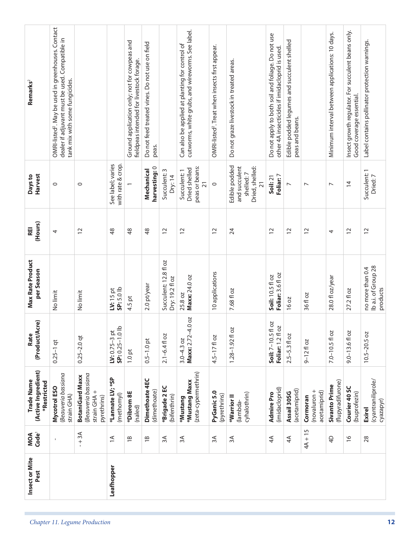| Insect or Mite<br>Leafhopper<br>Pest | $4A + 15$<br>Code <sup>1</sup><br>$-+3A$<br>MOA<br>$\leq$<br>3A<br>$\approx$<br>$3\text{\AA}$<br>$3A$<br>4A<br>$\overline{18}$<br>$\overline{18}$<br>4A | (Active Ingredient)<br>(zeta-cypermethrin)<br>Beauveria bassiana<br>Beauveria bassiana<br><b>BotaniGard Maxx</b><br>*Lannate LV; *SP<br>Dimethoate 4EC<br>Trade Name<br>*Mustang Maxx<br>*Restricted<br>*Brigade 2 EC<br>Mycotrol ESO<br>(imidacloprid)<br>(acetamiprid)<br>(dimethoate)<br>(novaluron +<br>acetamiprid)<br>strain GHA +<br>*Dibrom 8E<br>Assail 30SG<br>PyGanic 5.0<br>Admire Pro<br>cyhalothrin)<br>(methomyl)<br>strain GHA)<br>(pyrethrins)<br>(bifenthrin)<br>*Warrior <sup>II</sup><br>Cormoran<br>pyrethrins)<br>*Mustang<br>(lambda-<br>(naled) | 4.0 oz<br>(Product/Acre)<br>Soil: 7-10.5 fl oz<br><b>DZ</b><br>으<br>$1.28 - 1.92f$ oz<br>$LV: 0.75-3$ pt<br>SP: 0.25-1.0 II<br>Foliar: 1.2fl<br>Rate<br>$2.5 - 5.3$ floz<br>$2.1 - 6.4$ fl oz<br>$4.5 - 17f$ oz<br>Maxx: 2.72<br>$0.25 - 2.0$ qt<br>$3.0 - 4.3$ oz<br>$0.5 - 1.0$ pt<br>$9 - 12$ floz<br>$0.25-1$ qt<br>$1.0$ pt | Max Rate Product<br>Succulent: 12.8 fl oz<br>per Season<br>10 applications<br>Foliar: 3.6 fl oz<br>Soil: 10.5 fl oz<br>Maxx: 24.0 oz<br>Dry: 19.2 fl oz<br>2.0 pt/year<br>SP: 5.0 lb<br>$W: 15$ pt<br>7.68 fl oz<br>No limit<br>No limit<br>25.8 oz<br>36 fl oz<br>4.5 pt<br>16 oz | (Hours)<br>REI<br>48<br>24<br>$\overline{c}$<br>$\overline{c}$<br>$\frac{8}{3}$<br>$\frac{8}{3}$<br>$\overline{c}$<br>$\overline{12}$<br>$\overline{c}$<br>$\overline{c}$<br>$\overline{c}$<br>4 | See label; varies<br>with rate & crop.<br>Edible podded<br>Dried, shelled:<br>harvesting: 0<br>and succulent<br>peas or beans:<br>Dried shelled<br>Mechanical<br>Succulent: 3<br>Succulent: 1<br>shelled:7<br>Harvest<br>Foliar: 7<br>Days to<br>Dry: 14<br>Soil: 21<br>$\overline{21}$<br>$\overline{21}$<br>$\circ$<br>$\circ$<br>$\circ$<br>$\overline{ }$<br>$\overline{ }$ | OMRI-listed <sup>2</sup> . May be used in greenhouses. Contact<br>cutworms, white grubs, and wireworms. See label.<br>Do not apply to both soil and foliage. Do not use<br>dealer if adjuvant must be used. Compatible in<br>Edible podded legumes and succulent shelled<br>Ground application only; not for cowpeas and<br>Do not feed treated vines. Do not use on field<br>Can also be applied at planting for control of<br>OMRI-listed <sup>2</sup> . Treat when insects first appear.<br>other 4A insecticides if imidacloprid is used.<br>fieldpeas intended for livestock forage.<br>Do not graze livestock in treated areas.<br>tank mix with some fungicides.<br>Remarks <sup>2</sup><br>peas and beans.<br>peas. |
|--------------------------------------|---------------------------------------------------------------------------------------------------------------------------------------------------------|-------------------------------------------------------------------------------------------------------------------------------------------------------------------------------------------------------------------------------------------------------------------------------------------------------------------------------------------------------------------------------------------------------------------------------------------------------------------------------------------------------------------------------------------------------------------------|----------------------------------------------------------------------------------------------------------------------------------------------------------------------------------------------------------------------------------------------------------------------------------------------------------------------------------|------------------------------------------------------------------------------------------------------------------------------------------------------------------------------------------------------------------------------------------------------------------------------------|--------------------------------------------------------------------------------------------------------------------------------------------------------------------------------------------------|---------------------------------------------------------------------------------------------------------------------------------------------------------------------------------------------------------------------------------------------------------------------------------------------------------------------------------------------------------------------------------|-----------------------------------------------------------------------------------------------------------------------------------------------------------------------------------------------------------------------------------------------------------------------------------------------------------------------------------------------------------------------------------------------------------------------------------------------------------------------------------------------------------------------------------------------------------------------------------------------------------------------------------------------------------------------------------------------------------------------------|
|                                      | $\overline{4}$                                                                                                                                          | (flupyradifurone)<br>Sivanto Prime                                                                                                                                                                                                                                                                                                                                                                                                                                                                                                                                      | $7.0 - 10.5f$ oz                                                                                                                                                                                                                                                                                                                 | 28.0 fl oz/year                                                                                                                                                                                                                                                                    | 4                                                                                                                                                                                                | $\overline{ }$                                                                                                                                                                                                                                                                                                                                                                  | Minimum interval between applications: 10 days.                                                                                                                                                                                                                                                                                                                                                                                                                                                                                                                                                                                                                                                                             |
|                                      |                                                                                                                                                         | Courier 40 SC                                                                                                                                                                                                                                                                                                                                                                                                                                                                                                                                                           |                                                                                                                                                                                                                                                                                                                                  |                                                                                                                                                                                                                                                                                    |                                                                                                                                                                                                  |                                                                                                                                                                                                                                                                                                                                                                                 |                                                                                                                                                                                                                                                                                                                                                                                                                                                                                                                                                                                                                                                                                                                             |
|                                      | $\frac{6}{1}$                                                                                                                                           | (buprofezin)                                                                                                                                                                                                                                                                                                                                                                                                                                                                                                                                                            | $9.0 - 13.6f$ oz                                                                                                                                                                                                                                                                                                                 | 27.2 fl oz                                                                                                                                                                                                                                                                         | $\overline{c}$                                                                                                                                                                                   | $\overline{4}$                                                                                                                                                                                                                                                                                                                                                                  | Insect growth regulator. For succulent beans only.<br>Good coverage essential.                                                                                                                                                                                                                                                                                                                                                                                                                                                                                                                                                                                                                                              |
|                                      | 28                                                                                                                                                      | (cyantraniliprole/<br>cyazapyr)<br><b>Exirel</b>                                                                                                                                                                                                                                                                                                                                                                                                                                                                                                                        | $10.5 - 20.5$ oz                                                                                                                                                                                                                                                                                                                 | Ib a.i. of Group 28<br>no more than 0.4<br>products                                                                                                                                                                                                                                | $\overline{c}$                                                                                                                                                                                   | Succulent: 1<br>Dried: 7                                                                                                                                                                                                                                                                                                                                                        | Label contains pollinator protection warnings.                                                                                                                                                                                                                                                                                                                                                                                                                                                                                                                                                                                                                                                                              |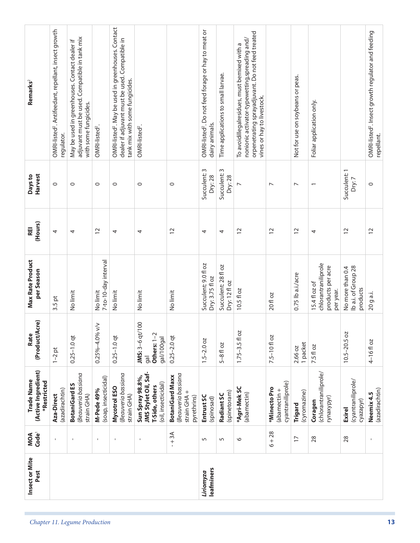| Remarks <sup>2</sup>                             | OMRI-listed <sup>2</sup> . Antifeedant, repellant, insect growth | adjuvant must be used. Compatible in tank mix<br>May be used in greenhouses. Contact dealer if<br>with some fungicides. |                                           | OMRI-listed <sup>2</sup> . May be used in greenhouses. Contact<br>dealer if adjuvant must be used. Compatible in<br>tank mix with some fungicides. |                                                                                          |                                                                             | OMRI-listed <sup>2</sup> . Do not feed forage or hay to meat or | Time applications to small larvae.   | orpenetrating sprayadjuvant. Do not feed treated<br>nonionic activator-typewetting,spreading and/<br>To avoidillegalresidues, must bemixed with a<br>vines or hay to livestock. |                                                   | Not for use on soybeans or peas. | Foliar application only.                                               |                                                     | OMRI-listed <sup>2</sup> . Insect growth regulator and feeding |
|--------------------------------------------------|------------------------------------------------------------------|-------------------------------------------------------------------------------------------------------------------------|-------------------------------------------|----------------------------------------------------------------------------------------------------------------------------------------------------|------------------------------------------------------------------------------------------|-----------------------------------------------------------------------------|-----------------------------------------------------------------|--------------------------------------|---------------------------------------------------------------------------------------------------------------------------------------------------------------------------------|---------------------------------------------------|----------------------------------|------------------------------------------------------------------------|-----------------------------------------------------|----------------------------------------------------------------|
|                                                  | regulator.                                                       |                                                                                                                         | OMRI-listed <sup>2</sup> .                |                                                                                                                                                    | OMRI-listed <sup>2</sup> .                                                               |                                                                             | dairy animals.                                                  |                                      |                                                                                                                                                                                 |                                                   |                                  |                                                                        |                                                     | repellant.                                                     |
| <b>Harvest</b><br>Days to                        | $\circ$                                                          | $\circ$                                                                                                                 | $\circ$                                   | $\circ$                                                                                                                                            | $\circ$                                                                                  | $\circ$                                                                     | Succulent: 3<br>Dry: 28                                         | Succulent: 3<br>Dry: 28              | $\overline{ }$                                                                                                                                                                  | $\overline{ }$                                    | $\overline{ }$                   |                                                                        | Succulent: 1<br>Dry:7                               | $\circ$                                                        |
| (Hours)<br><b>REI</b>                            | 4                                                                | 4                                                                                                                       | $\overline{c}$                            | 4                                                                                                                                                  | 4                                                                                        | $\overline{c}$                                                              | 4                                                               | 4                                    | $\overline{c}$                                                                                                                                                                  | $\overline{12}$                                   | $\overline{c}$                   | 4                                                                      | $\overline{c}$                                      | $\overline{c}$                                                 |
| Max Rate Product<br>per Season                   | $3.5$ pt                                                         | No limit                                                                                                                | 7-to-10-day interval<br>No limit          | No limit                                                                                                                                           | No limit                                                                                 | No limit                                                                    | Succulent: 9.0 fl oz<br>Dry: 3.75 fl oz                         | Succulent: 28 fl oz<br>Dry: $12f$ oz | 10.5 fl oz                                                                                                                                                                      | 20 fl oz                                          | 0.75 lb a.i./acre                | chlorantraniliprole<br>products per acre<br>15.4 fl oz of<br>per year. | lb a.i. of Group 28<br>No more than 0.4<br>products | 20 g a.i.                                                      |
| (Product/Acre)<br>Rate                           | $1 - 2$ pt                                                       | $0.25 - 1.0$ qt                                                                                                         | $\leq$<br>$0.25\% - 4.0\%$                | $0.25 - 1.0$ qt                                                                                                                                    | JMS: 3-6 qt/100<br>Others: $1-2$<br>gal/100gal<br>gal                                    | $0.25 - 2.0$ qt                                                             | $1.5 - 2.0$ oz                                                  | $5 - 8$ fl oz                        | $1.75 - 3.5 f$ oz                                                                                                                                                               | 7.5-10 floz                                       | 1 packet<br>2.66 oz              | 7.5 fl oz                                                              | $10.5 - 20.5$ oz                                    | 4-16fl oz                                                      |
| (Active Ingredient)<br>Trade Name<br>*Restricted | (azadirachtin)<br>Aza-Direct                                     | Beauveria bassiana<br><b>BotaniGard ES</b><br>strain GHA)                                                               | (soap, insecticidal)<br><b>M-Pede 49%</b> | Beauveria bassiana<br>Mycotrol ESO<br>strain GHA)                                                                                                  | JMS Stylet Oil, Saf-<br>Sun Spray 98.8%,<br>(oil, insecticidal)<br><b>F-Side, others</b> | Beauveria bassiana<br><b>BotaniGard Maxx</b><br>strain GHA +<br>pyrethrins) | Entrust SC<br>(spinosad)                                        | (spinetoram)<br>Radiant SC           | *Agri-Mek SC<br>(abamectin)                                                                                                                                                     | cyantraniliprole)<br>*Minecto Pro<br>(abamectin + | (cyromazine)<br>Trigard          | (chlorantraniliprole/<br>rynaxypyr)<br>Coragen                         | (cyantraniliprole/<br>cyazapyr)<br><b>Exirel</b>    | (azadirachtin)<br>Neemix 4.5                                   |
| Code <sup>1</sup><br>MOA                         | $\mathbf{I}$                                                     |                                                                                                                         | $\mathbf{I}$                              | $\blacksquare$                                                                                                                                     | $\mathbf{I}$                                                                             | $-+3A$                                                                      | $\sqrt{2}$                                                      | 5                                    | $\circ$                                                                                                                                                                         | $6 + 28$                                          | $\overline{1}$                   | 28                                                                     | 28                                                  | $\mathbf{I}$                                                   |
| Insect or Mite<br>Pest                           |                                                                  |                                                                                                                         |                                           |                                                                                                                                                    |                                                                                          |                                                                             | leafminers<br>Liriomyza                                         |                                      |                                                                                                                                                                                 |                                                   |                                  |                                                                        |                                                     |                                                                |
|                                                  |                                                                  | Chapter 11. Legume Production                                                                                           |                                           |                                                                                                                                                    |                                                                                          |                                                                             |                                                                 |                                      |                                                                                                                                                                                 |                                                   |                                  |                                                                        |                                                     |                                                                |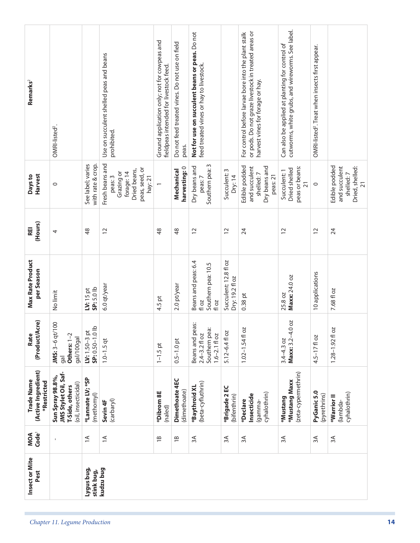| Remarks <sup>2</sup><br>Harvest<br>Days to<br>(Hours)<br>REI<br><b>Max Rate Product</b><br>per Season | OMRI-listed <sup>2</sup> .<br>$\circ$<br>4<br>No limit                            | See label; varies<br>with rate & crop.<br>48<br>SP: 5.0 lb<br>$IV: 15$ pt | Use on succulent shelled peas and beans<br>prohibited.<br>Fresh beans and<br>peas, seed, or<br>Dried beans,<br>Grazing or<br>forage: 14<br>hay: 21<br>peas: 3<br>12<br>6.0 qt/year | Ground application only; not for cowpeas and<br>fieldpeas intended for livestock feed.<br>$\overline{ }$<br>$\frac{8}{4}$<br>4.5 pt | Do not feed treated vines. Do not use on field<br>peas.<br>harvesting: 0<br>Mechanical<br>$\frac{8}{3}$<br>2.0 pt/year | Not for use on succulent beans or peas. Do not<br>feed treated vines or hay to livestock.<br>S<br>Dry beans and<br>Southern pea:<br>peas: 7<br>$\overline{C}$<br>Beans and peas: 6.4<br>Southern pea: 10.5<br>fl oz<br>floz | Succulent: 3<br>Dry: 14<br>$\overline{c}$<br>Succulent: 12.8 fl oz<br>Dry: 19.2 fl oz | or pods. Do not graze livestock in treated areas or<br>For control before larvae bore into the plant stalk<br>harvest vines for forage or hay.<br>Edible podded<br>Dry beans and<br>and succulent<br>shelled:7<br>peas: 21<br>24<br>$0.38$ pt | cutworms, white grubs, and wireworms. See label.<br>Can also be applied at planting for control of<br>peas or beans:<br>Dried shelled<br>Succulent: 1<br>$\overline{21}$<br>$\overline{c}$<br>Maxx: 24.0 oz<br>25.8 oz | OMRI-listed <sup>2</sup> . Treat when insects first appear.<br>$\circ$<br>$\overline{c}$<br>10 applications | Edible podded<br>Dried, shelled:<br>and succulent<br>shelled:7<br>$\overline{21}$<br>24<br>7.68 fl oz |
|-------------------------------------------------------------------------------------------------------|-----------------------------------------------------------------------------------|---------------------------------------------------------------------------|------------------------------------------------------------------------------------------------------------------------------------------------------------------------------------|-------------------------------------------------------------------------------------------------------------------------------------|------------------------------------------------------------------------------------------------------------------------|-----------------------------------------------------------------------------------------------------------------------------------------------------------------------------------------------------------------------------|---------------------------------------------------------------------------------------|-----------------------------------------------------------------------------------------------------------------------------------------------------------------------------------------------------------------------------------------------|------------------------------------------------------------------------------------------------------------------------------------------------------------------------------------------------------------------------|-------------------------------------------------------------------------------------------------------------|-------------------------------------------------------------------------------------------------------|
| (Product/Acre)<br>Rate                                                                                | JMS: 3-6 qt/100<br>Others: 1-2<br>gal/100gal<br>gal                               | SP: 0.50-1.0 lb<br>$IV: 1.50 - 3 pt$                                      | $1.0 - 1.5$ qt                                                                                                                                                                     | $1 - 1.5$ pt                                                                                                                        | $0.5 - 1.0$ pt                                                                                                         | Beans and peas:<br>Southern pea:<br>$1.6 - 2.1$ fl oz<br>$2.4 - 3.2 f$ oz                                                                                                                                                   | 5.12-6.4 fl oz                                                                        | $1.02 - 1.54$ floz                                                                                                                                                                                                                            | Maxx: 3.2-4.0 oz<br>$3.4 - 4.3$ oz                                                                                                                                                                                     | $4.5 - 17f$ oz                                                                                              | 2O<br>$1.28 - 1.92$ fl                                                                                |
| (Active Ingredient)<br>Trade Name<br>*Restricted                                                      | JMS Stylet Oil, Saf-<br>Sun Spray 98.8%,<br>(oil, insecticidal)<br>T-Side, others | *Lannate LV; *SP<br>(methomyl)                                            | (carbaryl)<br>Sevin <sub>4F</sub>                                                                                                                                                  | *Dibrom 8E<br>(naled)                                                                                                               | Dimethoate 4EC<br>(dimethoate)                                                                                         | (beta-cyfluthrin)<br>*Baythroid XL                                                                                                                                                                                          | *Brigade 2 EC<br>(bifenthrin)                                                         | cyhalothrin)<br>Insecticide<br>*Declare<br>gamma-                                                                                                                                                                                             | (zeta-cypermethrin)<br>*Mustang Maxx<br>*Mustang                                                                                                                                                                       | PyGanic 5.0<br>(pyrethrins)                                                                                 | cyhalothrin)<br>*Warrior II<br>(lambda-                                                               |
| MOA<br>Code <sup>1</sup>                                                                              |                                                                                   | $\leq$                                                                    | $\leq$                                                                                                                                                                             | $\overline{18}$                                                                                                                     | $\overline{1}$                                                                                                         | 3A                                                                                                                                                                                                                          | 3A                                                                                    | 3A                                                                                                                                                                                                                                            | 3A                                                                                                                                                                                                                     | 3A                                                                                                          | 3A                                                                                                    |
| Insect or Mite<br>Pest                                                                                |                                                                                   | Lygus bug,<br>stink bug,                                                  | kudzu bug                                                                                                                                                                          |                                                                                                                                     |                                                                                                                        |                                                                                                                                                                                                                             |                                                                                       |                                                                                                                                                                                                                                               |                                                                                                                                                                                                                        |                                                                                                             |                                                                                                       |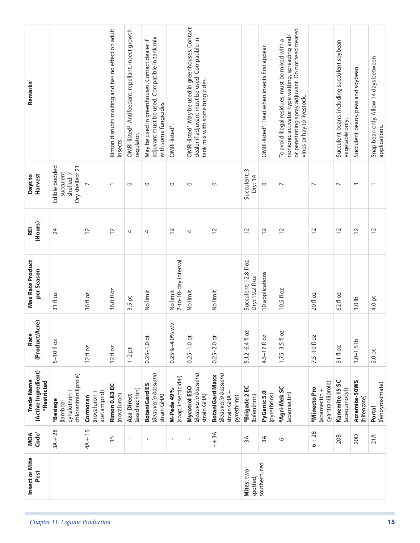| Insect or Mite<br>Pest                           |                                                              |                                         |                                                               |                                                                                |                                                                                                                         |                                    |                                                                                                                                                    |                                                                               | Mites: two-<br>spotted,                  | southern, red                                               |                                                                                                                                                                                        |                                                   |                                                                 |                                    |                                                        |
|--------------------------------------------------|--------------------------------------------------------------|-----------------------------------------|---------------------------------------------------------------|--------------------------------------------------------------------------------|-------------------------------------------------------------------------------------------------------------------------|------------------------------------|----------------------------------------------------------------------------------------------------------------------------------------------------|-------------------------------------------------------------------------------|------------------------------------------|-------------------------------------------------------------|----------------------------------------------------------------------------------------------------------------------------------------------------------------------------------------|---------------------------------------------------|-----------------------------------------------------------------|------------------------------------|--------------------------------------------------------|
| Code <sup>1</sup><br>MOA                         | $3A + 28$                                                    | $4A + 15$                               | 15                                                            | $\mathbf{I}$                                                                   | $\mathbf I$                                                                                                             | $\blacksquare$                     | $\mathbf{I}$                                                                                                                                       | $-1$ 3A                                                                       | 3A                                       | $\approx$                                                   | $\circ$                                                                                                                                                                                | $6 + 28$                                          | 20B                                                             | 20D                                | 21A                                                    |
| (Active Ingredient)<br>Trade Name<br>*Restricted | chlorantraniliprole)<br>cyhalothrin +<br>*Besiege<br>lambda- | novaluron +<br>acetamiprid)<br>Cormoran | <b>Rimon 0.83 EC</b><br>(novaluron)                           | (azadirachtin)<br>Aza-Direct                                                   | Beauveria bassiana<br><b>BotaniGard ES</b><br>strain GHA)                                                               | (soap, insecticidal)<br>M-Pede 49% | Beauveria bassiana<br>Mycotrol ESO<br>strain GHA)                                                                                                  | Beauveria bassiana<br><b>BotaniGard Maxx</b><br>strain $GHA +$<br>pyrethrins) | *Brigade 2 EC<br>(bifenthrin)            | PyGanic 5.0<br>(pyrethrins)                                 | *Agri-Mek SC<br>(abamectin)                                                                                                                                                            | cyantraniliprole)<br>*Minecto Pro<br>(abamectin + | Kanemite 15 SC<br>(acequinocyl)                                 | Acramite-50WS<br>(bifenzate)       | (fenpyroximate)<br>Portal                              |
| (Product/Acre)<br>Rate                           | $5 - 10f$ oz                                                 | $12f$ oz                                | $12f$ oz                                                      | $1-2$ pt                                                                       | $0.25 - 1.0$ qt                                                                                                         | $0.25\% - 4.0\%$ v/v               | $0.25 - 1.0$ qt                                                                                                                                    | $0.25 - 2.0$ qt                                                               | 5.12-6.4fl oz                            | $4.5 - 17f$ oz                                              | $1.75 - 3.5 f$ oz                                                                                                                                                                      | $7.5 - 10f$ oz                                    | 31 fl oz                                                        | $1.0 - 1.5$ lb                     | $2.0$ pt                                               |
| Max Rate Product<br>per Season                   | 31 fl oz                                                     | 36 fl oz                                | 36.0 fl oz                                                    | $\overline{\mathsf{p}}$<br>3.5                                                 | No limit                                                                                                                | 7-to-10-day interval<br>No limit   | No limit                                                                                                                                           | No limit                                                                      | Succulent: 12.8 fl oz<br>Dry: 19.2 fl oz | 10 applications                                             | 10.5 fl oz                                                                                                                                                                             | 20 fl oz                                          | 62 fl oz                                                        | 3.0 <sub>1b</sub>                  | 4.0 pt                                                 |
| (Hours)<br>REI                                   | 24                                                           | $\overline{c}$                          | $\overline{c}$                                                | 4                                                                              | 4                                                                                                                       | $\overline{c}$                     | 4                                                                                                                                                  | $\overline{C}$                                                                | $\overline{c}$                           | $\overline{c}$                                              | 12                                                                                                                                                                                     | $\overline{c}$                                    | $\tilde{c}$                                                     | $\overline{c}$                     | $\overline{c}$                                         |
| <b>Harvest</b><br>Days to                        | Edible podded<br>Dry shelled: 21<br>succulent<br>shelled:7   | $\overline{ }$                          | $\overline{\phantom{0}}$                                      | $\circ$                                                                        | $\circ$                                                                                                                 | $\circ$                            | $\circ$                                                                                                                                            | $\circ$                                                                       | Succulent: 3<br>Dry:14                   | $\circ$                                                     | $\overline{ }$                                                                                                                                                                         | $\overline{ }$                                    | $\overline{ }$                                                  | $\sim$                             | $\overline{\phantom{0}}$                               |
| Remarks <sup>2</sup>                             |                                                              |                                         | Rimon disrupts molting and has no effect on adult<br>insects. | OMRI-listed <sup>2</sup> . Antifeedant, repellant, insect growth<br>regulator. | adjuvant must be used. Compatible in tank mix<br>May be used in greenhouses. Contact dealer if<br>with some fungicides. | OMRI-listed <sup>2</sup> .         | OMRI-listed <sup>2</sup> . May be used in greenhouses. Contact<br>dealer if adjuvant must be used. Compatible in<br>tank mix with some fungicides. |                                                                               |                                          | OMRI-listed <sup>2</sup> . Treat when insects first appear. | or penetrating spray adjuvant. Do not feed treated<br>nonionic activator-type wetting, spreading and/<br>To avoid illegal residues, must be mixed with a<br>vines or hay to livestock. |                                                   | Succulent beans, including succulent soybean<br>vegetable only. | Succulent beans, peas and soybean. | Snap bean only. Allow 14 days between<br>applications. |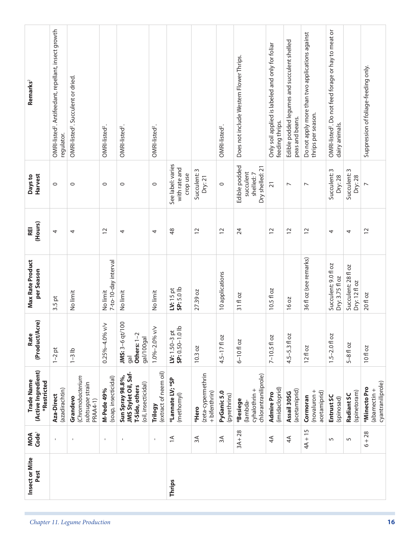| Remarks <sup>2</sup>                             | OMRI-listed <sup>2</sup> . Antifeedant, repellant, insect growth |                                                              |                                    |                                                                                   |                                  |                                                |                                              |                             |                                                              | Only soil applied is labeled and only for foliar | Edible podded legumes and succulent shelled | Do not apply more than two applications against | OMRI-listed <sup>2</sup> . Do not feed forage or hay to meat or |                                      |                                                   |
|--------------------------------------------------|------------------------------------------------------------------|--------------------------------------------------------------|------------------------------------|-----------------------------------------------------------------------------------|----------------------------------|------------------------------------------------|----------------------------------------------|-----------------------------|--------------------------------------------------------------|--------------------------------------------------|---------------------------------------------|-------------------------------------------------|-----------------------------------------------------------------|--------------------------------------|---------------------------------------------------|
|                                                  | regulator.                                                       | OMRI-listed <sup>2</sup> . Succulent or dried.               | OMRI-listed <sup>2</sup> .         | OMRI-listed <sup>2</sup> .                                                        | OMRI-listed <sup>2</sup> .       |                                                |                                              | OMRI-listed <sup>2</sup> .  | Does not include Western Flower Thrips.                      | feeding thrips.                                  | peas and beans.                             | thrips per season.                              | dairy animals.                                                  |                                      | Suppression of foliage-feeding only.              |
| <b>Harvest</b><br>Days to                        | $\circ$                                                          | $\circ$                                                      | $\circ$                            | $\circ$                                                                           | $\circ$                          | See label: varies<br>with rate and<br>crop use | Succulent: 3<br>Dry:21                       | $\circ$                     | Edible podded<br>Dry shelled: 21<br>succulent<br>shelled:7   | $\overline{21}$                                  | $\overline{ }$                              | $\overline{ }$                                  | Succulent: 3<br>Dry: 28                                         | Succulent: 3<br>Dry: 28              | $\overline{ }$                                    |
| (Hours)<br>REI                                   | 4                                                                | 4                                                            | $\overline{c}$                     | 4                                                                                 | 4                                | $\frac{8}{3}$                                  | $\overline{c}$                               | $\overline{c}$              | 24                                                           | $\overline{12}$                                  | $\overline{c}$                              | $\overline{c}$                                  | 4                                                               | 4                                    | $\overline{c}$                                    |
| Max Rate Product<br>per Season                   | $3.5$ pt                                                         | No limit                                                     | 7-to-10-day interval<br>No limit   | No limit                                                                          | No limit                         | $SP: 5.0$ lb<br>$IV: 15$ pt                    | 27.39 oz                                     | 10 applications             | 31f1oz                                                       | 10.5 fl oz                                       | 16 oz                                       | 36 fl oz (see remarks)                          | Succulent: 9.0 fl oz<br>Dry: 3.75 fl oz                         | Succulent: 28 fl oz<br>Dry: 12 fl oz | 20 fl oz                                          |
| (Product/Acre)<br>Rate                           | $1-2$ pt                                                         | $1-3$ lb                                                     | $\leq$<br>$0.25\% - 4.0\%$         | JMS: 3-6 qt/100<br>Others: 1-2<br>gal/100gal<br>gal                               | 1.0%-2.0% v/v                    | 으<br>LV: $1.50-3$ pt<br>SP: $0.50-1.0$ II      | 10.3 oz                                      | $4.5 - 17f$ oz              | $6 - 10$ floz                                                | $7 - 10.5 f$ 0z                                  | $4.5 - 5.3$ fl oz                           | $12f$ l oz                                      | $1.5 - 2.0$ floz                                                | $5 - 8$ floz                         | 10 fl oz                                          |
| (Active Ingredient)<br>Trade Name<br>*Restricted | (azadirachtin)<br>Aza-Direct                                     | (Chromobacterium<br>subtsugae strain<br>Grandevo<br>PRAA4-1) | (soap, insecticidal)<br>M-Pede 49% | JMS Stylet Oil, Saf-<br>Sun Spray 98.8%,<br>(oil, insecticidal)<br>T-Side, others | (extract of neem oil)<br>Trilogy | *Lannate LV; *SP<br>(methomyl)                 | (zeta-cypermethrin<br>+ bifenthrin)<br>*Hero | PyGanic 5.0<br>(pyrethrins) | chlorantraniliprole)<br>cyhalothrin +<br>*Besiege<br>lambda- | (imidacloprid)<br>Admire Pro                     | (acetamiprid)<br>Assail 30SG                | (novaluron +<br>acetamiprid)<br>Cormoran        | Entrust SC<br>(spinosad)                                        | (spinetoram)<br>Radiant SC           | cyantraniliprole)<br>*Minecto Pro<br>(abamectin + |
| Code <sup>1</sup><br>MOA                         | $\mathbf{I}$                                                     | $\blacksquare$                                               | $\mathbf{I}$                       | $\mathbf{I}$                                                                      | $\mathbf{I}$                     | $\leq$                                         | 3A                                           | $\approx$                   | $3A + 28$                                                    | 4A                                               | 4A                                          | $4A + 15$                                       | $\sqrt{2}$                                                      | 5                                    | $6 + 28$                                          |
| Insect or Mite<br>Pest                           |                                                                  |                                                              |                                    |                                                                                   |                                  | Thrips                                         |                                              |                             |                                                              |                                                  |                                             |                                                 |                                                                 |                                      |                                                   |
|                                                  |                                                                  | Chapter 11. Legume Production                                |                                    |                                                                                   |                                  |                                                |                                              |                             |                                                              |                                                  |                                             |                                                 |                                                                 |                                      | 16                                                |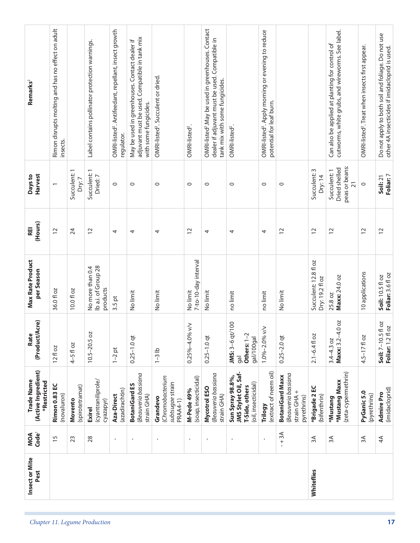|    | Insect or Mite<br>Pest | Code <sup>1</sup><br>MOA | (Active Ingredient)<br>Trade Name<br>*Restricted                                  | (Product/Acre)<br>Rate                                         | Max Rate Product<br>per Season                      | (Hours)<br>REI | Harvest<br>Days to                                                 | Remarks <sup>2</sup>                                                                                                                               |
|----|------------------------|--------------------------|-----------------------------------------------------------------------------------|----------------------------------------------------------------|-----------------------------------------------------|----------------|--------------------------------------------------------------------|----------------------------------------------------------------------------------------------------------------------------------------------------|
|    |                        | $\overline{15}$          | <b>Rimon 0.83 EC</b><br>(novaluron)                                               | 12 fl oz                                                       | 36.0 fl oz                                          | $\overline{c}$ |                                                                    | Rimon disrupts molting and has no effect on adult<br>insects.                                                                                      |
|    |                        | 23                       | (spirotetramat)<br>Movento                                                        | $4-5f$ 0z                                                      | 10.0 fl oz                                          | 24             | Succulent: 1<br>Dry:7                                              |                                                                                                                                                    |
|    |                        | 28                       | (cyantraniliprole/<br>cyazapyr)<br><b>Exirel</b>                                  | $10.5 - 20.5$ oz                                               | lb a.i. of Group 28<br>No more than 0.4<br>products | $\overline{c}$ | $\overline{\phantom{0}}$<br>Succulent:<br>Dried: 7                 | Label contains pollinator protection warnings.                                                                                                     |
|    |                        | $\blacksquare$           | (azadirachtin)<br>Aza-Direct                                                      | $1-2$ pt                                                       | $3.5$ pt                                            | 4              | $\circ$                                                            | OMRI-listed <sup>2</sup> . Antifeedant, repellant, insect growth<br>regulator.                                                                     |
|    |                        | $\mathbf{I}$             | Beauveria bassiana<br><b>BotaniGard ES</b><br>strain GHA)                         | $0.25 - 1.0$ qt                                                | No limit                                            | 4              | $\circ$                                                            | adjuvant must be used. Compatible in tank mix<br>May be used in greenhouses. Contact dealer if<br>with some fungicides.                            |
|    |                        | $\mathbf{I}$             | (Chromobacterium<br>subtsugae strain<br>Grandevo<br>PRAA4-1)                      | $1-3$ lb                                                       | No limit                                            | 4              | $\circ$                                                            | OMRI-listed <sup>2</sup> . Succulent or dried.                                                                                                     |
|    |                        | $\mathbf{I}$             | (soap, insecticidal)<br><b>M-Pede 49%</b>                                         | $\leq$<br>$0.25\% - 4.0\%$                                     | 7-to-10-day interval<br>No limit                    | $\overline{C}$ | $\circ$                                                            | OMRI-listed <sup>2</sup> .                                                                                                                         |
|    |                        | $\blacksquare$           | Beauveria bassiana<br>Mycotrol ESO<br>strain GHA)                                 | $0.25 - 1.0$ qt                                                | No limit                                            | 4              | $\circ$                                                            | OMRI-listed <sup>2</sup> . May be used in greenhouses. Contact<br>dealer if adjuvant must be used. Compatible in<br>tank mix with some fungicides. |
|    |                        | $\mathsf I$              | JMS Stylet Oil, Saf-<br>Sun Spray 98.8%,<br>(oil, insecticidal)<br>T-Side, others | JMS: 3-6 qt/100<br>Others: 1-2<br>gal/100gal<br>$\overline{g}$ | no limit                                            | 4              | $\circ$                                                            | OMRI-listed <sup>2</sup> .                                                                                                                         |
|    |                        | $\blacksquare$           | (extract of neem oil)<br>Trilogy                                                  | 1.0%-2.0% v/v                                                  | no limit                                            | 4              | $\circ$                                                            | OMRI-listed <sup>2</sup> . Apply morning or evening to reduce<br>potential for leaf burn.                                                          |
|    |                        | $-1$ 3A                  | Beauveria bassiana<br><b>BotaniGard Maxx</b><br>strain GHA +<br>pyrethrins)       | $0.25 - 2.0$ qt                                                | No limit                                            | 12             | $\circ$                                                            |                                                                                                                                                    |
|    | Whiteflies             | $\approx$                | *Brigade 2 EC<br>(bifenthrin)                                                     | $2.1 - 6.4$ fl oz                                              | Succulent: 12.8 fl oz<br>Dry: 19.2 fl oz            | $\overline{c}$ | Succulent: 3<br>Dry: 14                                            |                                                                                                                                                    |
|    |                        | 3A                       | (zeta-cypermethrin)<br>*Mustang Maxx<br>*Mustang                                  | 002<br>Maxx: $3.2 - 4$<br>$3.4 - 4.3$ oz                       | Maxx: 24.0 oz<br>25.8 oz                            | $\tilde{c}$    | peas or beans:<br>Dried shelled<br>Succulent: 1<br>$\overline{21}$ | cutworms, white grubs, and wireworms. See label.<br>Can also be applied at planting for control of                                                 |
|    |                        | $\approx$                | PyGanic 5.0<br>(pyrethrins)                                                       | $4.5 - 17f$ oz                                                 | 10 applications                                     | 12             | $\circ$                                                            | OMRI-listed <sup>2</sup> . Treat when insects first appear.                                                                                        |
| 17 |                        | 4A                       | (imidacloprid)<br>Admire Pro                                                      | fl oz<br><b>DZ</b><br>Foliar: 1.2fl<br>Soil: 7-10.5            | Foliar: 3.6 fl oz<br>Soil: 10.5 fl oz               | $\overline{C}$ | Foliar: 7<br>Soil: 21                                              | Do not apply to both soil and foliage. Do not use<br>other 4A insecticides if imidacloprid is used.                                                |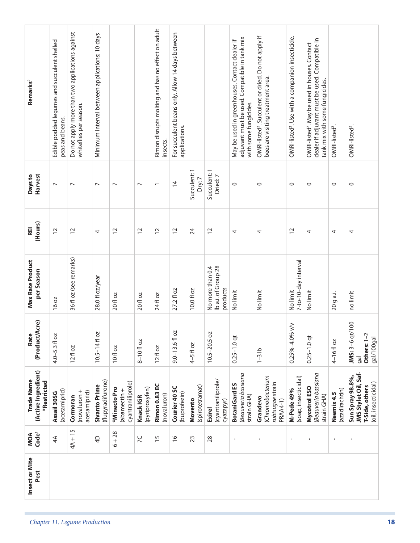| Remarks <sup>2</sup><br>Harvest<br>Days to<br>(Hours)<br>REI<br>Max Rate Product<br>per Season<br>(Product/Acre)<br>Rate<br>(Active Ingredient)<br>Trade Name<br>*Restricted<br>Code <sup>1</sup><br>MOA | Edible podded legumes and succulent shelled<br>peas and beans.<br>$\overline{\phantom{0}}$<br>$\overline{C}$<br>16 oz<br>$4.0 - 5.3$ fl oz<br>(acetamiprid)<br>Assail 30SG<br>4A | Do not apply more than two applications against<br>whiteflies per season.<br>$\overline{ }$<br>$\overline{c}$<br>36 fl oz (see remarks)<br>$12f$ l oz<br>(novaluron +<br>acetamiprid)<br>Cormoran<br>$4A + 15$ | Minimum interval between applications: 10 days<br>$\overline{\phantom{0}}$<br>4<br>28.0 fl oz/year<br>$10.5 - 14f$ oz<br>(flupyradifurone)<br><b>Sivanto Prime</b><br>$\overline{4}$ | $\overline{\phantom{0}}$<br>$\overline{C}$<br>20 fl oz<br>10fl oz<br>cyantraniliprole)<br>*Minecto Pro<br>(abamectin +<br>$6 + 28$ | $\overline{ }$<br>$\overline{c}$<br>20 fl oz<br>$8 - 10f$ oz<br>(pyriproxyfen)<br>Knack IGR<br>X | Rimon disrupts molting and has no effect on adult<br>insects.<br>$\overline{\phantom{0}}$<br>$\overline{c}$<br>24 fl oz<br>12f1oz<br>Rimon 0.83 EC<br>(novaluron)<br>$\overline{15}$ | For succulent beans only. Allow 14 days between<br>applications.<br>$\overline{4}$<br>$\overline{c}$<br>27.2 fl oz<br>$9.0 - 13.6f$ oz<br>Courier 40 SC<br>(buprofezin)<br>$\frac{9}{2}$ | Succulent: 1<br>Dry:7<br>24<br>10.0 fl oz<br>$4-5f$ oz<br>(spirotetramat)<br>Movento<br>23 | Succulent: 1<br>Dried: 7<br>$\overline{c}$<br>Ib a.i. of Group 28<br>No more than 0.4<br>products<br>$10.5 - 20.5$ oz<br>(cyantraniliprole/<br>cyazapyr)<br><b>Exirel</b><br>28 | adjuvant must be used. Compatible in tank mix<br>May be used in greenhouses. Contact dealer if<br>with some fungicides.<br>$\circ$<br>4<br>No limit<br>$0.25 - 1.0$ qt<br>Beauveria bassiana<br><b>BotaniGard ES</b><br>strain GHA)<br>$\blacksquare$ | OMRI-listed <sup>2</sup> . Succulent or dried. Do not apply if<br>bees are visiting treatment area.<br>$\circ$<br>4<br>No limit<br>$1-3$ lb<br>(Chromobacterium<br>subtsugae strain<br>Grandevo<br>PRAA4-1)<br>$\mathbf{I}$ | OMRI-listed <sup>2</sup> . Use with a companion insecticide.<br>$\circ$<br>$\overline{12}$<br>7-to-10-day interval<br>No limit<br>$\leq$<br>$0.25\% - 4.0\%$<br>(soap, insecticidal)<br>M-Pede 49%<br>$\mathbf{I}$ | dealer if adjuvant must be used. Compatible in<br>OMRI-listed <sup>2</sup> . May be used in houses. Contact<br>tank mix with some fungicides.<br>$\circ$<br>4<br>No limit<br>$0.25 - 1.0$ qt<br>Beauveria bassiana<br>Mycotrol ESO<br>strain GHA)<br>$\mathbf{I}$ | OMRI-listed <sup>2</sup> .<br>$\circ$<br>4<br>20 g a.i.<br>4-16floz<br>(azadirachtin)<br>Neemix 4.5<br>$\blacksquare$ | OMRI-listed <sup>2</sup> .<br>$\circ$<br>4<br>no limit<br>JMS: 3-6 qt/100<br>gal<br>JMS Stylet Oil, Saf-<br>Sun Spray 98.8%,<br>$\mathbf{I}$ |
|----------------------------------------------------------------------------------------------------------------------------------------------------------------------------------------------------------|----------------------------------------------------------------------------------------------------------------------------------------------------------------------------------|----------------------------------------------------------------------------------------------------------------------------------------------------------------------------------------------------------------|--------------------------------------------------------------------------------------------------------------------------------------------------------------------------------------|------------------------------------------------------------------------------------------------------------------------------------|--------------------------------------------------------------------------------------------------|--------------------------------------------------------------------------------------------------------------------------------------------------------------------------------------|------------------------------------------------------------------------------------------------------------------------------------------------------------------------------------------|--------------------------------------------------------------------------------------------|---------------------------------------------------------------------------------------------------------------------------------------------------------------------------------|-------------------------------------------------------------------------------------------------------------------------------------------------------------------------------------------------------------------------------------------------------|-----------------------------------------------------------------------------------------------------------------------------------------------------------------------------------------------------------------------------|--------------------------------------------------------------------------------------------------------------------------------------------------------------------------------------------------------------------|-------------------------------------------------------------------------------------------------------------------------------------------------------------------------------------------------------------------------------------------------------------------|-----------------------------------------------------------------------------------------------------------------------|----------------------------------------------------------------------------------------------------------------------------------------------|
| Insect or Mite<br>Pest                                                                                                                                                                                   |                                                                                                                                                                                  |                                                                                                                                                                                                                |                                                                                                                                                                                      |                                                                                                                                    |                                                                                                  |                                                                                                                                                                                      |                                                                                                                                                                                          |                                                                                            |                                                                                                                                                                                 |                                                                                                                                                                                                                                                       |                                                                                                                                                                                                                             |                                                                                                                                                                                                                    |                                                                                                                                                                                                                                                                   |                                                                                                                       |                                                                                                                                              |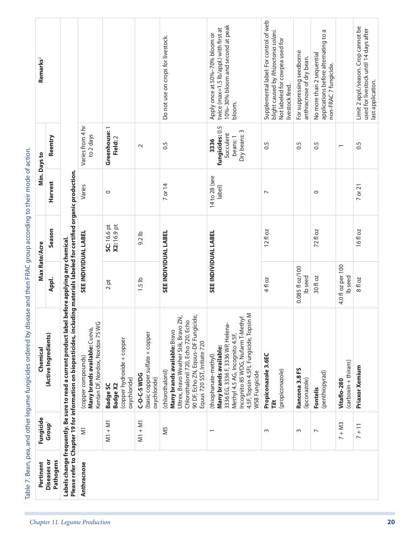| Pertinent                       | Fungicide                | Chemical                                                                                                                                                                                                                     | Max Rate/Acre                      |                                   |                          | Min. Days to                                                     | Remarks <sup>2</sup>                                                                                                                 |
|---------------------------------|--------------------------|------------------------------------------------------------------------------------------------------------------------------------------------------------------------------------------------------------------------------|------------------------------------|-----------------------------------|--------------------------|------------------------------------------------------------------|--------------------------------------------------------------------------------------------------------------------------------------|
| <b>Diseases</b> or<br>Pathogens | Group <sup>1</sup>       | (Active Ingredients)                                                                                                                                                                                                         | Appl.                              | Season                            | <b>Harvest</b>           | Reentry                                                          |                                                                                                                                      |
|                                 |                          | Please refer to Chapter 19 for information on biopesticides, including materials labeled for certified organic production<br>Labels change frequently. Be sure to read a current product label before applying any chemical. |                                    |                                   |                          |                                                                  |                                                                                                                                      |
| Anthracnose                     | $\overline{\leq}$        | Kentan DF, Nordox, Nordox 75 WG<br>Many brands available: Cueva,<br>(copper compounds)                                                                                                                                       | <b>SEE INDIVIDUAL LABEL</b>        |                                   | Varies                   | Varies from 4 hr<br>to 2 days                                    |                                                                                                                                      |
|                                 | $M1 + M1$                | copper hydroxide + copper<br>oxychloride)<br><b>Badge X2</b><br><b>Badge SC</b>                                                                                                                                              | 2 pt                               | <b>SC:</b> 16.6 pt<br>X2: 16.9 pt | $\circ$                  | Greenhouse: 1<br>Field: 2                                        |                                                                                                                                      |
|                                 | $M1 + M1$                | (basic copper sulfate + copper<br><b>C-O-C-SWDG</b><br>oxychloride)                                                                                                                                                          | $1.5$ lb                           | $9.2$ lb                          |                          | $\sim$                                                           |                                                                                                                                      |
|                                 | N <sub>5</sub>           | 90 DF, Echo ZN, Equus-DF Fungicide,<br>Ultrex, Bravo Weather Stik, Bravo ZN,<br>Chlorothalonil 720, Echo 720, Echo<br>Many brands available: Bravo<br>Equus 720 SST, Initiate 720<br>(chlorothalonil)                        | SEE INDIVIDUAL LABEL               |                                   | 7 or 14                  | 0.5                                                              | Do not use on crops for livestock.                                                                                                   |
|                                 | $\overline{\phantom{0}}$ | 4.5F, Topsin 4.5FL Fungicide, Topsin M<br>Incognito 85 WDG, Nufarm T-Methyl<br>3336 EG, 3336 F, 3336 WP, Helena-<br>Methyl 4.5 AG, Incognito 4.5F,<br>Many brands available:<br>(thiophanate-methyl)<br>WSB Fungicide        | SEE INDIVIDUAL LABEL               |                                   | 14 to 28 (see<br>label)  | fungicides: 0.5<br>Dry beans: 3<br>Succulent<br>beans: 1<br>3336 | 10%-30% bloom and second at peak<br>twice (max=1.5 lb/appl.) with first at<br>Apply once at 50%-70% bloom or<br>bloom.               |
|                                 | $\sim$                   | Propiconazole 3.6EC<br>(propiconazole)<br>Ĕ                                                                                                                                                                                  | 4 fl oz                            | $12f$ oz                          | $\overline{\phantom{0}}$ | 0.5                                                              | Supplemental label: For control of web<br>blight caused by Rhizoctonia solani.<br>Not labeled for cowpea used for<br>livestock feed. |
|                                 | $\sim$                   | Rancona 3.8 FS<br>(ipconazole)                                                                                                                                                                                               | 0.085 fl oz/100<br>lb seed         |                                   |                          | 0.5                                                              | For suppressing seedborne<br>anthracnose of dry bean.                                                                                |
|                                 | $\overline{ }$           | (penthiopyrad)<br><b>Fontelis</b>                                                                                                                                                                                            | 30 fl oz                           | 72fl oz                           | $\circ$                  | 0.5                                                              | applications before alternating to a<br>No more than 2 sequential<br>non-FRAC 7 fungicide.                                           |
|                                 | $7 + M3$                 | (carboxin + thiram)<br>Vitaflo-280                                                                                                                                                                                           | 4.0 fl oz per 100<br><b>b</b> seed |                                   |                          | $\overline{\phantom{0}}$                                         |                                                                                                                                      |
|                                 | $7 + 11$                 | Priaxor Xemium                                                                                                                                                                                                               | 8 fl oz                            | 16fl oz                           | $7$ or $21$              | 0.5                                                              | Limit 2 appl./season. Crop cannot be<br>used for livestock until 14 days after<br>last application.                                  |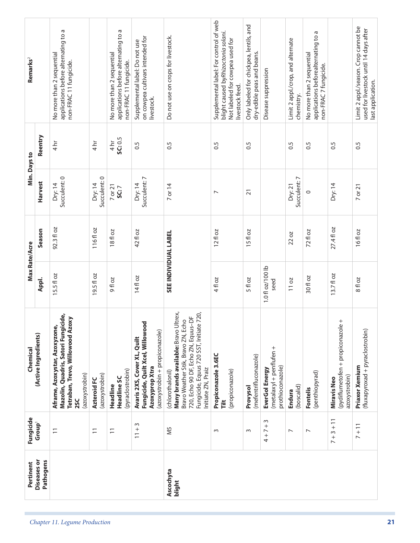| Diseases or<br>Pathogens<br>Ascochyta<br>blight | Fungicide<br>$\sim$<br>Group <sup>1</sup><br>$11 + 3$<br>$4 + 7 +$<br>SM<br>$\overline{\phantom{0}}$<br>$\equiv$<br>$\overline{1}$<br>$\sim$<br>$\sim$<br>$\overline{ }$<br>$\overline{ }$ | Many brands available: Bravo Ultrex,<br>720,<br>Mazolin, Quadris, Satori Fungicide,<br>720, Echo 90 DF, Echo ZN, Equus-DF<br>Tetraban, Trevo, Willowood Azoxy<br>Bravo Weather Stik, Bravo ZN, Echo<br>Fungicide, Quilt Xcel, Willowood<br>Fungicide, Equus 720 SST, Initiate<br>Aframe, Azoxystar, Azoxyzone,<br>(azoxystrobin + propiconazole)<br>(Active Ingredients)<br>Avaris 2XS, Cover XL, Quilt<br>(metalaxyl + penflufen +<br>Chemical<br>Propiconazole 3.6EC<br>(mefentrifluconazole)<br>prothioconazole)<br>Azoxyprop Xtra<br>Initiate ZN, Praiz<br>EverGol Energy<br>(pyraclostrobin)<br>(propiconazole)<br>(chlorothalonil)<br>(penthiopyrad)<br>(azoxystrobin)<br>(azoxystrobin)<br>Headline SC<br>Azteroid FC<br>Headline<br>(boscalid)<br>Provysol<br>Fontelis<br>Endura<br><b>2SC</b><br>Ĕ | <b>SEE INDIVIDUAL LABEL</b><br>Max Rate/Acre<br>1.0 fl oz/100 lb<br>19.5 fl oz<br>15.5 fl oz<br>14fl oz<br>30 fl oz<br>Appl.<br>9fl oz<br>4 fl oz<br>5 fl oz<br>11 oz<br>seed | 92.3 fl oz<br>116fl oz<br>Season<br>18fl oz<br>42 fl oz<br>12 fl oz<br>72 fl oz<br>ŏ<br>22 oz<br>15f | Succulent: 0<br>Succulent: 0<br>Succulent: 7<br>Succulent: 7<br>Harvest<br>Dry: 14<br>Dry: 14<br>Dry: 14<br>7 or 14<br>Dry: 21<br>7 or 21<br>SC:7<br>$\overline{2}1$<br>$\circ$<br>$\overline{ }$ | Reentry<br>SC: 0.5<br>4 <sup>hr</sup><br>$4 h$ r<br>$\frac{1}{4}$<br>$\overline{0}$<br>0.5<br>$\sim$<br>$\overline{0}$ .5<br>$\sim$<br>0.5<br>Min. Days to | Supplemental label: For control of web<br>Only labeled for chickpea, lentils, and<br>applications before alternating to a<br>applications before alternating to a<br>blight caused byRhizoctonia solani.<br>applications beforealternating to a<br>Do not use on crops for livestock.<br>on cowpea cultivars intended for<br>Not labeled for cowpea used for<br>Limit 2 appl./crop, and alternate<br>Supplemental label: Do not use<br>dry-edible peas and beans.<br>No more than 2 sequential<br>No more than 2 sequential<br>No more than 2 sequential<br>Remarks <sup>2</sup><br>non-FRAC 11 fungicide.<br>non-FRAC 11 fungicide.<br>non-FRAC 7 fungicide.<br>Disease suppression<br>livestock feed.<br>chemistry.<br>livestock. |
|-------------------------------------------------|--------------------------------------------------------------------------------------------------------------------------------------------------------------------------------------------|-------------------------------------------------------------------------------------------------------------------------------------------------------------------------------------------------------------------------------------------------------------------------------------------------------------------------------------------------------------------------------------------------------------------------------------------------------------------------------------------------------------------------------------------------------------------------------------------------------------------------------------------------------------------------------------------------------------------------------------------------------------------------------------------------------------|-------------------------------------------------------------------------------------------------------------------------------------------------------------------------------|------------------------------------------------------------------------------------------------------|---------------------------------------------------------------------------------------------------------------------------------------------------------------------------------------------------|------------------------------------------------------------------------------------------------------------------------------------------------------------|-------------------------------------------------------------------------------------------------------------------------------------------------------------------------------------------------------------------------------------------------------------------------------------------------------------------------------------------------------------------------------------------------------------------------------------------------------------------------------------------------------------------------------------------------------------------------------------------------------------------------------------------------------------------------------------------------------------------------------------|
|                                                 | $7 + 3 + 11$                                                                                                                                                                               | $^+$<br>(pydiflumetofen + propiconazole<br>azoxystrobin)<br><b>Miravis Neo</b>                                                                                                                                                                                                                                                                                                                                                                                                                                                                                                                                                                                                                                                                                                                              | $13.7f$ loz                                                                                                                                                                   | 27.4 fl oz                                                                                           | Dry: 14                                                                                                                                                                                           | 0.5                                                                                                                                                        |                                                                                                                                                                                                                                                                                                                                                                                                                                                                                                                                                                                                                                                                                                                                     |
|                                                 | $7 + 11$                                                                                                                                                                                   | (fluxapyroxad + pyraclostrobin)<br>Priaxor Xemium                                                                                                                                                                                                                                                                                                                                                                                                                                                                                                                                                                                                                                                                                                                                                           | 8 fl oz                                                                                                                                                                       | 16fl oz                                                                                              | 7 or 21                                                                                                                                                                                           | 0.5                                                                                                                                                        | Limit 2 appl./season. Crop cannot be<br>used for livestock until 14 days after<br>last application.                                                                                                                                                                                                                                                                                                                                                                                                                                                                                                                                                                                                                                 |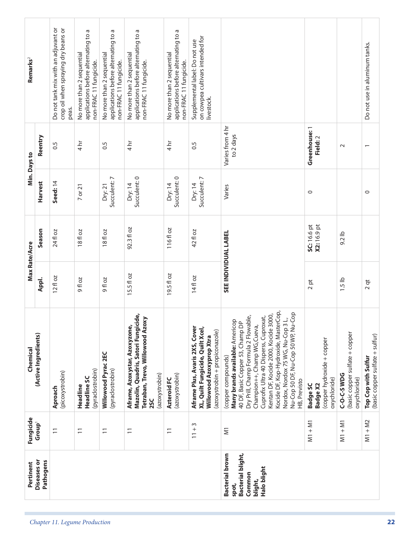| Pertinent                                                                                | Fungicide             | Chemical                                                                                                                                                                                                                                                                                                                                                                                                    | Max Rate/Acre        |                                   |                         | Min. Days to                  | Remarks <sup>2</sup>                                                                        |  |
|------------------------------------------------------------------------------------------|-----------------------|-------------------------------------------------------------------------------------------------------------------------------------------------------------------------------------------------------------------------------------------------------------------------------------------------------------------------------------------------------------------------------------------------------------|----------------------|-----------------------------------|-------------------------|-------------------------------|---------------------------------------------------------------------------------------------|--|
| <b>Diseases or</b><br>Pathogens                                                          | Group <sup>1</sup>    | (Active Ingredients)                                                                                                                                                                                                                                                                                                                                                                                        | Appl.                | Season                            | Harvest                 | Reentry                       |                                                                                             |  |
|                                                                                          | $\overline{1}$        | (picoxystrobin)<br>Aproach                                                                                                                                                                                                                                                                                                                                                                                  | $12f$ oz             | 24 fl oz                          | Seed: 14                | 0.5                           | Do not tank mix with an adjuvant or<br>crop oil when spraying dry beans or<br>peas.         |  |
|                                                                                          | $\overline{1}$        | (pyraclostrobin)<br>Headline SC<br>Headline                                                                                                                                                                                                                                                                                                                                                                 | <b>9floz</b>         | 18 fl oz                          | 7 or 21                 | $4 \overline{\text{hr}}$      | applications before alternating to a<br>No more than 2 sequential<br>non-FRAC 11 fungicide. |  |
|                                                                                          | $\overline{1}$        | Willowood Pyrac 2EC<br>(pyraclostrobin)                                                                                                                                                                                                                                                                                                                                                                     | <b>20 H G</b>        | 18fl oz                           | Succulent: 7<br>Dry:21  | 0.5                           | applications before alternating to a<br>No more than 2 sequential<br>non-FRAC 11 fungicide. |  |
|                                                                                          | $\overline{1}$        | Mazolin, Quadris, Satori Fungicide,<br>Tetraban, Trevo, Willowood Azoxy<br>Aframe, Azoxystar, Azoxyzone,<br>(azoxystrobin)<br><b>SSC</b>                                                                                                                                                                                                                                                                    | 15.5 fl oz           | 92.3 fl oz                        | Succulent: 0<br>Dry: 14 | $\frac{4}{n}$                 | applications before alternating to a<br>No more than 2 sequential<br>non-FRAC 11 fungicide. |  |
|                                                                                          | $\overline{1}$        | (azoxystrobin)<br>Azteroid FC                                                                                                                                                                                                                                                                                                                                                                               | 19.5 fl oz           | 116fl oz                          | Succulent: 0<br>Dry: 14 | $\frac{1}{4}$                 | applications before alternating to a<br>No more than 2 sequential<br>non-FRAC 11 fungicide. |  |
|                                                                                          | S<br>$11 +$           | Aframe Plus, Avaris 2XS, Cover<br>XL, Quilt Fungicide, Quilt Xcel,<br>(azoxystrobin + propiconazole)<br>Willowood Azoxyprop Xtra                                                                                                                                                                                                                                                                            | 14fl oz              | 42 fl oz                          | Succulent: 7<br>Dry: 14 | 0.5                           | on cowpea cultivars intended for<br>Supplemental label: Do not use<br>livestock.            |  |
| <b>Bacterial brown</b><br>Bacterial blight,<br>Halo blight<br>Common<br>blight,<br>spot, | $\overline{\epsilon}$ | Kocide DF, Kop-Hydroxide, MasterCop,<br>Nu-Cop 50 DF, Nu-Cop 50 WP, Nu-Cop<br>Cuprofix Ultra 40 Disperss, Cuproxat,<br>Kentan DF, Kocide 2000, Kocide 3000,<br><b>Many brands available: A</b> mericop<br>40 DF, Basic Copper 53, Champ DP<br>Dry Prill, Champ Formula 2 Flowable,<br>$\frac{1}{2}$<br>Champion++, Champ WG, Cueva,<br>Nordox, Nordox 75 WG, Nu-Cop 3<br>(copper compounds)<br>HB, Previsto | SEE INDIVIDUAL LABEL |                                   | Varies                  | Varies from 4 hr<br>to 2 days |                                                                                             |  |
|                                                                                          | $M1 + M1$             | copper hydroxide + copper<br>oxychloride)<br><b>Badge SC</b><br><b>Badge X2</b>                                                                                                                                                                                                                                                                                                                             | 2 pt                 | X2: 16.9 pt<br><b>SC:</b> 16.6 pt | $\circ$                 | Greenhouse: 1<br>Field: 2     |                                                                                             |  |
|                                                                                          | $M1 + M1$             | (basic copper sulfate + copper<br>C-O-C-SWDG<br>oxychloride)                                                                                                                                                                                                                                                                                                                                                | $1.5$ lb             | $9.2$ lb                          |                         | $\sim$                        |                                                                                             |  |
|                                                                                          | $M1 + M2$             | (basic copper sulfate + sulfur)<br>Top Cop with Sulfur                                                                                                                                                                                                                                                                                                                                                      | $2$ qt               |                                   | $\circ$                 | $\overline{ }$                | Do not use in aluminum tanks.                                                               |  |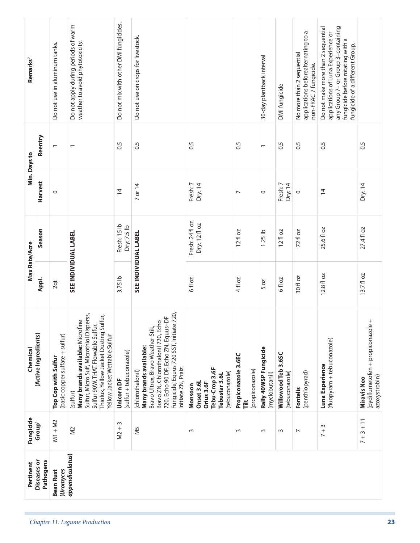| Reentry                         |                                                        | $\overline{\phantom{0}}$                                                                                                                                                                                 | $\ddot{0}$                                                                                                               | $\overline{0}$                                                                                                                                                                                                                  | 0.5                                                                                      | 0.5                                         | $\overline{\phantom{0}}$                | $\sim$                                | $\overline{0}$                    | 0.5                                                                                       | 0.5                                                                                                                                                                                   |
|---------------------------------|--------------------------------------------------------|----------------------------------------------------------------------------------------------------------------------------------------------------------------------------------------------------------|--------------------------------------------------------------------------------------------------------------------------|---------------------------------------------------------------------------------------------------------------------------------------------------------------------------------------------------------------------------------|------------------------------------------------------------------------------------------|---------------------------------------------|-----------------------------------------|---------------------------------------|-----------------------------------|-------------------------------------------------------------------------------------------|---------------------------------------------------------------------------------------------------------------------------------------------------------------------------------------|
| Harvest                         | $\circ$                                                |                                                                                                                                                                                                          | $\overline{4}$                                                                                                           | 7 or 14                                                                                                                                                                                                                         | Fresh: 7<br>Dry: 14                                                                      | $\overline{ }$                              | $\circ$                                 | Fresh: 7<br>Dry:14                    | $\circ$                           | $\overline{4}$                                                                            | Dry:14                                                                                                                                                                                |
| Season                          |                                                        |                                                                                                                                                                                                          | Fresh: 15 lb<br>Dry: 7.5 lb                                                                                              |                                                                                                                                                                                                                                 | Fresh: 24 fl oz<br>Dry: 12 fl oz                                                         | $12f$ oz                                    | $1.25$ lb                               | $12f$ l oz                            | 72 fl oz                          | 25.6 fl oz                                                                                | 27.4 fl oz                                                                                                                                                                            |
| Appl.                           | 2qt                                                    |                                                                                                                                                                                                          | 3.75 lb                                                                                                                  |                                                                                                                                                                                                                                 | 6 fl oz                                                                                  | 4 fl oz                                     | 50Z                                     | 6 fl oz                               | 30 fl oz                          | 12.8 fl oz                                                                                | 13.7 fl oz                                                                                                                                                                            |
| (Active Ingredients)            | (basic copper sulfate + sulfur)<br>Top Cop with Sulfur | Sulfur, Micro Sulf, Microthiol Disperss,<br>Thiolux, Yellow Jacket Dusting Sulfur,<br>Many brands available: Microfine<br>Sulfur 90W, THAT Flowable Sulfur,<br>Yellow Jacket Wettable Sulfur<br>(sulfur) | (sulfur + tebuconazole)<br>Unicorn DF                                                                                    | 720,<br>720, Echo 90 DF, Echo ZN, Equus-DF<br>Bravo ZN, Chlorothalonil 720, Echo<br>Fungicide, Equus 720 SST, Initiate<br>Bravo Ultrex, Bravo Weather Stik,<br>Many brands available:<br>Initiate ZN, Praiz<br>(chlorothalonil) | Tebu-Crop 3.6F<br>(tebuconazole)<br>Tebustar 3.6L<br>Onset 3.6L<br>Orius 3.6F<br>Monsoon | Propiconazole 3.6EC<br>(propiconazole)<br>Ĕ | Rally 40WSP Fungicide<br>(myclobutanil) | Willowood Teb 3.6SC<br>(tebuconazole) | (penthiopyrad)<br><b>Fontelis</b> | (fluopyram + tebuconazole)<br>Luna Experience                                             | $^{+}$<br>(pydiflumetofen + propiconazole<br>azoxystrobin)<br><b>Miravis Neo</b>                                                                                                      |
| Group <sup>1</sup>              | $M1 + M2$                                              | $\gtrapprox$                                                                                                                                                                                             | $\sim$<br>M <sup>2</sup>                                                                                                 | N <sub>5</sub>                                                                                                                                                                                                                  | $\sim$                                                                                   | $\sim$                                      | $\sim$                                  | $\sim$                                | $\overline{\phantom{0}}$          | $\sim$<br>$\frac{1}{2}$                                                                   | $7 + 3 + 11$                                                                                                                                                                          |
| <b>Diseases or</b><br>Pathogens | (Uromyces<br><b>Bean Rust</b>                          |                                                                                                                                                                                                          |                                                                                                                          |                                                                                                                                                                                                                                 |                                                                                          |                                             |                                         |                                       |                                   |                                                                                           |                                                                                                                                                                                       |
|                                 |                                                        | Do not use in aluminum tanks.                                                                                                                                                                            | Do not apply during periods of warm<br>weather to avoid phytotoxicity.<br><b>SEE INDIVIDUAL LABEL</b><br>appendiculatus) | Do not mix with other DMI fungicides.                                                                                                                                                                                           | Do not use on crops for livestock.<br>SEE INDIVIDUAL LABEL                               |                                             |                                         | 30-day plantback interval             | DMI fungicide                     | applications beforealternating to a<br>No more than 2 sequential<br>non-FRAC 7 fungicide. | any Group 7- or Group 3-containing<br>Do not make more than 2 sequential<br>applications of Luna Experience or<br>fungicide before rotating with a<br>fungicide of a different Group. |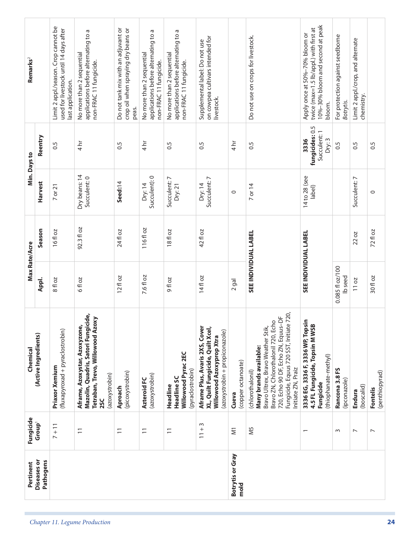| Pertinent                | Fungicide                | Chemical                                                                                                                                                                                                                                        | Max Rate/Acre                         |            |                               | Min. Days to                                      | Remarks <sup>2</sup>                                                                                                   |
|--------------------------|--------------------------|-------------------------------------------------------------------------------------------------------------------------------------------------------------------------------------------------------------------------------------------------|---------------------------------------|------------|-------------------------------|---------------------------------------------------|------------------------------------------------------------------------------------------------------------------------|
| Diseases or<br>Pathogens | Group <sup>1</sup>       | (Active Ingredients)                                                                                                                                                                                                                            | Appl.                                 | Season     | Harvest                       | Reentry                                           |                                                                                                                        |
|                          | $7 + 11$                 | (fluxapyroxad + pyraclostrobin)<br>Priaxor Xemium                                                                                                                                                                                               | 8 fl oz                               | 16fl oz    | 7 or 21                       | $\frac{5}{2}$                                     | Limit 2 appl./season. Crop cannot be<br>used for livestock until 14 days after<br>last application.                    |
|                          | $\overline{1}$           | Mazolin, Quadris, Satori Fungicide,<br>Tetraban, Trevo, Willowood Azoxy<br>Aframe, Azoxystar, Azoxyzone,<br>(azoxystrobin)<br><b>2SC</b>                                                                                                        | 20<br>6f                              | 92.3 fl oz | Dry beans: 14<br>Succulent: 0 | 4hr                                               | applications before alternating to a<br>No more than 2 sequential<br>non-FRAC 11 fungicide.                            |
|                          | $\overline{1}$           | (picoxystrobin)<br>Aproach                                                                                                                                                                                                                      | 12f1oz                                | 24 fl oz   | Seed:14                       | $\ddot{0}$                                        | Do not tank mix with an adjuvant or<br>crop oil when spraying dry beans or<br>peas.                                    |
|                          | $\overline{1}$           | (azoxystrobin)<br>Azteroid FC                                                                                                                                                                                                                   | 7.6 fl oz                             | 116fl oz   | Succulent): 0<br>Dry: 14      | $4 h$ r                                           | Б<br>applications before alternating to<br>No more than 2 sequential<br>non-FRAC 11 fungicide.                         |
|                          | $\overline{1}$           | Willowood Pyrac 2EC<br>(pyraclostrobin)<br><b>Headline SC</b><br>Headline                                                                                                                                                                       | <b>9floz</b>                          | 18fl oz    | Succulent: 7<br>Dry: 21       | 0.5                                               | applications before alternating to a<br>No more than 2 sequential<br>non-FRAC 11 fungicide.                            |
|                          | $11 + 3$                 | Aframe Plus, Avaris 2XS, Cover<br>XL, Quilt Fungicide, Quilt Xcel,<br>(azoxystrobin + propiconazole)<br>Willowood Azoxyprop Xtra                                                                                                                | 14fl oz                               | 42 fl oz   | Succulent: 7<br>Dry: 14       | 0.5                                               | on cowpea cultivars intended for<br>Supplemental label: Do not use<br>livestock.                                       |
| Botrytis or Gray<br>mold | $\overline{\leq}$        | (copper octanoate)<br>Cueva                                                                                                                                                                                                                     | $2$ gal                               |            | $\circ$                       | $4 h$ r                                           |                                                                                                                        |
|                          | N <sub>5</sub>           | 720,<br>$\overline{5}$<br>Bravo ZN, Chlorothalonil 720, Echo<br>720, Echo 90 DF, Echo ZN, Equus-<br>Fungicide, Equus 720 SST, Initiate<br>Bravo Ultrex, Bravo Weather Stik,<br>Many brands available:<br>Initiate ZN, Praiz<br>(chlorothalonil) | SEE INDIVIDUAL LABEL                  |            | 7 or 14                       | 0.5                                               | Do not use on crops for livestock.                                                                                     |
|                          | $\overline{\phantom{0}}$ | Ξ.<br>3336 EG, 3336 F, 3336 WP, Topsi<br>4.5 FL Fungicide, Topsin M WSB<br>(thiophanate-methyl)<br>Fungicide                                                                                                                                    | <b>SEE INDIVIDUAL LABEL</b>           |            | 14 to 28 (see<br>label)       | fungicides: 0.5<br>Succulent: 1<br>Dry: 3<br>3336 | 10%-30% bloom and second at peak<br>twice (max=1.5 lb/appl.) with first at<br>Apply once at 50%-70% bloom or<br>bloom. |
|                          | $\sim$                   | Rancona 3.8 FS<br>(ipconazole)                                                                                                                                                                                                                  | 0.085 fl oz/100<br>Ib <sub>seed</sub> |            |                               | 0.5                                               | For protection against seedborne<br>Botrytis.                                                                          |
|                          | $\overline{ }$           | (boscalid)<br>Endura                                                                                                                                                                                                                            | 11 oz                                 | 22 oz      | Succulent: 7                  | $\frac{5}{2}$                                     | Limit 2 appl./crop, and alternate<br>chemistry.                                                                        |
|                          | $\overline{ }$           | (penthiopyrad)<br>Fontelis                                                                                                                                                                                                                      | 30 fl oz                              | 72 fl oz   | $\circ$                       | $\frac{5}{2}$                                     |                                                                                                                        |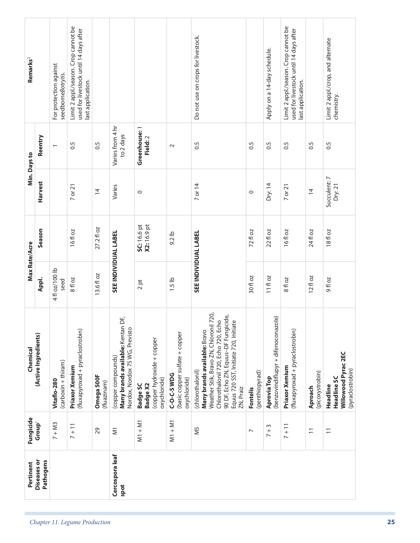| <b>Diseases or</b><br>Pertinent | Fungicide<br><b>Group</b>                      | (Active Ingredients)<br>Chemical                                                                                                                                                                                                      | Max Rate/Acre                     |                                   | Min. Days to            |                               | Remarks <sup>2</sup>                                                                                |  |
|---------------------------------|------------------------------------------------|---------------------------------------------------------------------------------------------------------------------------------------------------------------------------------------------------------------------------------------|-----------------------------------|-----------------------------------|-------------------------|-------------------------------|-----------------------------------------------------------------------------------------------------|--|
| Pathogens                       |                                                |                                                                                                                                                                                                                                       | Appl.                             | Season                            | Harvest                 | Reentry                       |                                                                                                     |  |
|                                 | $7 + M3$                                       | (carboxin + thiram)<br>Vitaflo-280                                                                                                                                                                                                    | 4 fl oz/100 lb<br>seed            |                                   |                         |                               | For protection against<br>seedborneBotrytis.                                                        |  |
|                                 | $7 + 11$                                       | (fluxapyroxad + pyraclostrobin)<br>Priaxor Xemium                                                                                                                                                                                     | 8 fl oz                           | 16fl oz                           | 7 or 21                 | 0.5                           | Limit 2 appl./season. Crop cannot be<br>used for livestock until 14 days after<br>last application. |  |
|                                 | 29                                             | Omega 500F<br>(fluazinam)                                                                                                                                                                                                             | 13.6 fl oz                        | 27.2 fl oz                        | $\overline{4}$          | 0.5                           |                                                                                                     |  |
| Cercospora leaf<br>spot         | $\overline{\leq}$                              | ЪF,<br>Many brands available: Kentan<br>Nordox, Nordox 75 WG, Previsto<br>(copper compounds)                                                                                                                                          | SEE INDIVIDUAL LABEL              |                                   | Varies                  | Varies from 4 hr<br>to 2 days |                                                                                                     |  |
|                                 | $M1 + M1$                                      | (copper hydroxide + copper<br>oxychloride)<br><b>Badge X2</b><br><b>Badge SC</b>                                                                                                                                                      | $\overline{\mathsf{p}}$<br>$\sim$ | <b>SC:</b> 16.6 pt<br>X2: 16.9 pt | $\circ$                 | Greenhouse: 1<br>Field: 2     |                                                                                                     |  |
|                                 | $M1 + M1$                                      | (basic copper sulfate + copper<br><b>C-O-C-SWDG</b><br>oxychloride)                                                                                                                                                                   | $1.5$ lb                          | $9.2$ lb                          |                         | $\sim$                        |                                                                                                     |  |
|                                 | N <sub>5</sub>                                 | 1720,<br>90 DF, Echo ZN, Equus-DF Fungicide,<br>Chlorothalonil 720, Echo 720, Echo<br>ഉ<br>Weather Stik, Bravo ZN, Chloronil<br>Equus 720 SST, Initiate 720, Initiat<br>Many brands available: Bravo<br>(chlorothalonil)<br>ZN, Praiz | <b>SEE INDIVIDUAL LABEL</b>       |                                   | 7 or 14                 | 0.5                           | Do not use on crops for livestock.                                                                  |  |
|                                 | $\overline{\phantom{a}}$                       | (penthiopyrad)<br>Fontelis                                                                                                                                                                                                            | 30 fl oz                          | 72 fl oz                          | $\circ$                 | 0.5                           |                                                                                                     |  |
|                                 | $\sim$<br>$+$                                  | (benzovindiflupyr + difenoconazole)<br>Aprovia Top                                                                                                                                                                                    | 11 fl oz                          | 22 fl oz                          | Dry:14                  | 0.5                           | Apply on a 14-day schedule.                                                                         |  |
|                                 | $7 + 11$                                       | (fluxapyroxad + pyraclostrobin)<br>Priaxor Xemium                                                                                                                                                                                     | 8 fl oz                           | 16fl oz                           | 7 or 21                 | 0.5                           | Limit 2 appl./season. Crop cannot be<br>used for livestock until 14 days after<br>last application. |  |
|                                 | $\overline{\overline{\phantom{0}}\phantom{0}}$ | (picoxystrobin)<br>Aproach                                                                                                                                                                                                            | $12f$ l oz                        | 24 fl oz                          | $\overline{4}$          | 0.5                           |                                                                                                     |  |
|                                 | $\overline{1}$                                 | Willowood Pyrac 2EC<br>(pyraclostrobin)<br>Headline SC<br>Headline                                                                                                                                                                    | <b>20 Ho</b>                      | 18fl oz                           | Succulent: 7<br>Dry: 21 | 0.5                           | Limit 2 appl./crop, and alternate<br>chemistry.                                                     |  |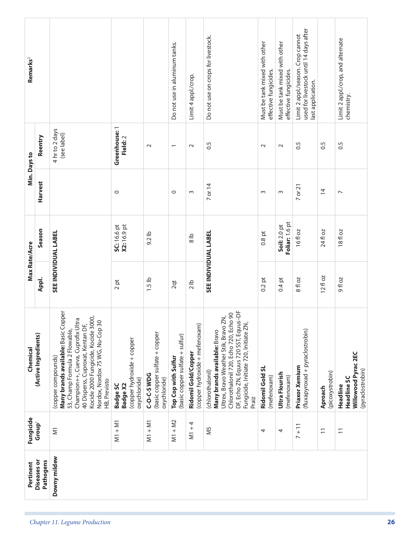| Remarks <sup>2</sup> |                          |                                                                                                                                                                                                                                                                |                                                                                  |                                                               | Do not use in aluminum tanks.                          | Limit 4 appl./crop.                                   | Do not use on crops for livestock.                                                                                                                                                                                           | Must be tank mixed with other<br>effective fungicides. | Must be tank mixed with other<br>effective fungicides. | used for livestock until 14 days after<br>Limit 2 appl./season. Crop cannot<br>last application. |                            | Limit 2 appl./crop, and alternate<br>chemistry.                           |
|----------------------|--------------------------|----------------------------------------------------------------------------------------------------------------------------------------------------------------------------------------------------------------------------------------------------------------|----------------------------------------------------------------------------------|---------------------------------------------------------------|--------------------------------------------------------|-------------------------------------------------------|------------------------------------------------------------------------------------------------------------------------------------------------------------------------------------------------------------------------------|--------------------------------------------------------|--------------------------------------------------------|--------------------------------------------------------------------------------------------------|----------------------------|---------------------------------------------------------------------------|
|                      | Reentry                  | 4 hr to 2 days<br>(see label)                                                                                                                                                                                                                                  | Greenhouse: 1<br>Field: 2                                                        | $\sim$                                                        | $\overline{\phantom{0}}$                               | $\sim$                                                | $\sim$                                                                                                                                                                                                                       | $\sim$                                                 | $\sim$                                                 | 0.5                                                                                              | 0.5                        | 0.5                                                                       |
| Min. Days to         | <b>Harvest</b>           |                                                                                                                                                                                                                                                                | $\circ$                                                                          |                                                               | $\circ$                                                | $\sim$                                                | 7 or 14                                                                                                                                                                                                                      | $\sim$                                                 | $\sim$                                                 | $7$ or $21$                                                                                      | $\overline{1}$             | $\overline{ }$                                                            |
|                      | Season                   |                                                                                                                                                                                                                                                                | SC: 16.6 pt<br>X2: 16.9 pt                                                       | 9.2 lb                                                        |                                                        | $\frac{8}{8}$                                         |                                                                                                                                                                                                                              | $0.8$ pt                                               | Foliar: 1.6 pt<br>Soil: 2.0 pt                         | 16 fl oz                                                                                         | 24 fl oz                   | 18fl oz                                                                   |
| Max Rate/Acre        | Appl.                    | SEE INDIVIDUAL LABEL                                                                                                                                                                                                                                           | $2\,\mathrm{pt}$                                                                 | $1.5$ lb                                                      | 2qt                                                    | 2 lb                                                  | <b>SEE INDIVIDUAL LABEL</b>                                                                                                                                                                                                  | $0.2$ pt                                               | $0.4$ pt                                               | 8 fl oz                                                                                          | 12fl oz                    | <b>20 p 6</b>                                                             |
| Chemical             | (Active Ingredients)     | Many brands available: Basic Copper<br>Kocide 2000 Fungicide, Kocide 3000,<br>Nordox, Nordox 75 WG, Nu-Cop 30<br>Champion++, Cueva, Cuprofix Ultra<br>40 Disperss, Cuproxat, Kentan DF,<br>53, Champ Formula 2 Flowable,<br>(copper compounds)<br>HB, Previsto | (copper hydroxide + copper<br>oxychloride)<br><b>Badge X2</b><br><b>Badge SC</b> | (basic copper sulfate + copper<br>C-O-C-S WDG<br>oxychloride) | (basic copper sulfate + sulfur)<br>Top Cop with Sulfur | (copper hydroxide + mefenoxam)<br>Ridomil Gold/Copper | DF, Echo ZN, Equus 720 SST, Equus-DF<br>Chlorothalonil 720, Echo 720, Echo 90<br>Ultrex, Bravo Weather Stik, Bravo ZN,<br>Fungicide, Initiate 720, Initiate ZN,<br>Many brands available: Bravo<br>(chlorothalonil)<br>Praiz | Ridomil Gold SL<br>(mefenoxam)                         | Ultra Flourish<br>(mefenoxam)                          | (fluxapyroxad + pyraclostrobin)<br>Priaxor Xemium                                                | (picoxystrobin)<br>Aproach | Willowood Pyrac 2EC<br>(pyraclostrobin)<br><b>Headline SC</b><br>Headline |
| Fungicide            | Group <sup>1</sup>       | $\overline{\leq}$                                                                                                                                                                                                                                              | $M1 + M1$                                                                        | $M1 + M1$                                                     | $M1 + M2$                                              | $M1 + 4$                                              | N <sub>5</sub>                                                                                                                                                                                                               | 4                                                      | 4                                                      | $7 + 11$                                                                                         | $\overline{1}$             | $\overline{1}$                                                            |
| Pertinent            | Diseases or<br>Pathogens | Downy mildew                                                                                                                                                                                                                                                   |                                                                                  |                                                               |                                                        |                                                       |                                                                                                                                                                                                                              |                                                        |                                                        |                                                                                                  |                            |                                                                           |
|                      |                          | Chapter 11. Legume Production                                                                                                                                                                                                                                  |                                                                                  |                                                               |                                                        |                                                       |                                                                                                                                                                                                                              |                                                        |                                                        |                                                                                                  |                            |                                                                           |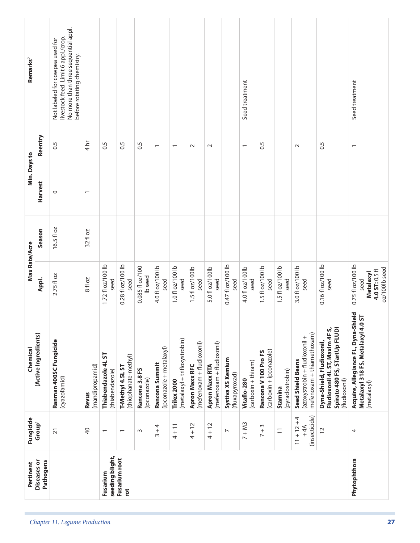| No more than three sequential appl.<br>livestock feed. Limit 6 appl./crop.<br>Not labeled for cowpea used for<br>before rotating chemistry.<br>Seed treatment<br>Seed treatment<br>Reentry<br>4 h<br>0.5<br>0.5<br>0.5<br>$\frac{5}{2}$<br>$\frac{5}{2}$<br>0.5<br>$\sim$<br>$\sim$<br>$\sim$<br>$\overline{\phantom{0}}$<br>$\overline{\phantom{0}}$<br>$\overline{\phantom{0}}$<br><b>Harvest</b><br>0<br>16.5 fl oz<br>Season<br>32 fl oz<br>0.28 fl oz/100 lb<br>0.47 fl oz/100 lb<br>1.72 fl oz/100 lb<br>0.16 fl oz/100 lb<br>0.75 fl oz/100 lb<br>4.0 fl oz/100 lb<br>1.5 fl oz/100 lb<br>3.0 fl oz/100 lb<br>0.085 fl oz/100<br>1.0 fl oz/100 lb<br>1.5 fl oz/100 lb<br>1.5 fl oz/100lb<br>5.0 fl oz/100lb<br>4.0 fl oz/100lb<br>oz/100lb seed<br>4.0 ST: 0.5 fl<br><b>Metalaxyl</b><br>2.75 fl oz<br>Ib seed<br>Appl.<br>8 fl oz<br>seed<br>seed<br>seed<br>seed<br>seed<br>seed<br>seed<br>seed<br>seed<br>seed<br>seed<br>seed<br>seed<br>Acquire, Allegiance FL, Dyna-Shield<br>Metalaxyl 318 FS, Metalaxyl 4.0 ST<br>Spirato 480 FS, STartUp FLUDI<br>Fludioxonil 4L ST, Maxim 4F S,<br>mefenoxam + thiamethoxam)<br>(Active Ingredients)<br>(azoxystrobin + fludioxonil +<br>(metalaxyl + trifloxystrobin)<br>Ranman 400SC Fungicide<br>Dyna-Shield, Fludioxonil,<br>(mefenoxam + fludioxonil)<br>(mefenoxam + fludioxonil)<br>(ipconazole + metalaxyl)<br>(carboxin + ipconazole)<br>Rancona V 100 Pro FS<br>Thiabendazole 4LST<br>(thiophanate-methyl)<br>Systiva XS Xemium<br><b>Seed Shield Beans</b><br>(carboxin + thiram)<br>Rancona Summit<br>Apron Maxx RFC<br>(mandipropamid)<br><b>Apron Maxx RTA</b><br>T-Methyl 4.5L ST<br>Rancona 3.8 FS<br>(pyraclostrobin)<br>(thiabendazole)<br>(fluxapyroxad)<br>(cyazofamid)<br>(ipconazole)<br>(fludioxonil)<br>Vitaflo-280<br>Trilex 2000<br>(metalaxyl)<br>Stamina<br>Revus<br>(insecticide)<br>$11 + 12 + 4$<br>Group <sup>1</sup><br>$7 + M3$<br>$4 + 12$<br>$4 + 12$<br>$4 + 11$<br>4<br>$7 + 3$<br>$+4A$<br>$\overline{4}$<br>$\overline{c}$<br>$\overline{1}$<br>$\overline{2}$ 1<br>$\! + \!$<br>4<br>$\sim$<br>$\overline{ }$<br>$\overline{\phantom{0}}$<br>$\overline{\phantom{0}}$<br>$\sim$<br>seeding blight,<br>Fusarium root<br>Phytophthora<br><b>Diseases or</b><br>Pathogens<br>Fusarium<br>ĭot | Pertinent                     | Fungicide | Chemical | Max Rate/Acre |  | Min. Days to | Remarks <sup>2</sup> |
|--------------------------------------------------------------------------------------------------------------------------------------------------------------------------------------------------------------------------------------------------------------------------------------------------------------------------------------------------------------------------------------------------------------------------------------------------------------------------------------------------------------------------------------------------------------------------------------------------------------------------------------------------------------------------------------------------------------------------------------------------------------------------------------------------------------------------------------------------------------------------------------------------------------------------------------------------------------------------------------------------------------------------------------------------------------------------------------------------------------------------------------------------------------------------------------------------------------------------------------------------------------------------------------------------------------------------------------------------------------------------------------------------------------------------------------------------------------------------------------------------------------------------------------------------------------------------------------------------------------------------------------------------------------------------------------------------------------------------------------------------------------------------------------------------------------------------------------------------------------------------------------------------------------------------------------------------------------------------------------------------------------------------------------------------------------------------------------------------------------------------------------------------------------------------------------------------------------------------------------------------------------------------------------|-------------------------------|-----------|----------|---------------|--|--------------|----------------------|
|                                                                                                                                                                                                                                                                                                                                                                                                                                                                                                                                                                                                                                                                                                                                                                                                                                                                                                                                                                                                                                                                                                                                                                                                                                                                                                                                                                                                                                                                                                                                                                                                                                                                                                                                                                                                                                                                                                                                                                                                                                                                                                                                                                                                                                                                                      |                               |           |          |               |  |              |                      |
|                                                                                                                                                                                                                                                                                                                                                                                                                                                                                                                                                                                                                                                                                                                                                                                                                                                                                                                                                                                                                                                                                                                                                                                                                                                                                                                                                                                                                                                                                                                                                                                                                                                                                                                                                                                                                                                                                                                                                                                                                                                                                                                                                                                                                                                                                      |                               |           |          |               |  |              |                      |
|                                                                                                                                                                                                                                                                                                                                                                                                                                                                                                                                                                                                                                                                                                                                                                                                                                                                                                                                                                                                                                                                                                                                                                                                                                                                                                                                                                                                                                                                                                                                                                                                                                                                                                                                                                                                                                                                                                                                                                                                                                                                                                                                                                                                                                                                                      |                               |           |          |               |  |              |                      |
|                                                                                                                                                                                                                                                                                                                                                                                                                                                                                                                                                                                                                                                                                                                                                                                                                                                                                                                                                                                                                                                                                                                                                                                                                                                                                                                                                                                                                                                                                                                                                                                                                                                                                                                                                                                                                                                                                                                                                                                                                                                                                                                                                                                                                                                                                      | Chapter 11. Legume Production |           |          |               |  |              |                      |
|                                                                                                                                                                                                                                                                                                                                                                                                                                                                                                                                                                                                                                                                                                                                                                                                                                                                                                                                                                                                                                                                                                                                                                                                                                                                                                                                                                                                                                                                                                                                                                                                                                                                                                                                                                                                                                                                                                                                                                                                                                                                                                                                                                                                                                                                                      |                               |           |          |               |  |              |                      |
|                                                                                                                                                                                                                                                                                                                                                                                                                                                                                                                                                                                                                                                                                                                                                                                                                                                                                                                                                                                                                                                                                                                                                                                                                                                                                                                                                                                                                                                                                                                                                                                                                                                                                                                                                                                                                                                                                                                                                                                                                                                                                                                                                                                                                                                                                      |                               |           |          |               |  |              |                      |
|                                                                                                                                                                                                                                                                                                                                                                                                                                                                                                                                                                                                                                                                                                                                                                                                                                                                                                                                                                                                                                                                                                                                                                                                                                                                                                                                                                                                                                                                                                                                                                                                                                                                                                                                                                                                                                                                                                                                                                                                                                                                                                                                                                                                                                                                                      |                               |           |          |               |  |              |                      |
|                                                                                                                                                                                                                                                                                                                                                                                                                                                                                                                                                                                                                                                                                                                                                                                                                                                                                                                                                                                                                                                                                                                                                                                                                                                                                                                                                                                                                                                                                                                                                                                                                                                                                                                                                                                                                                                                                                                                                                                                                                                                                                                                                                                                                                                                                      |                               |           |          |               |  |              |                      |
|                                                                                                                                                                                                                                                                                                                                                                                                                                                                                                                                                                                                                                                                                                                                                                                                                                                                                                                                                                                                                                                                                                                                                                                                                                                                                                                                                                                                                                                                                                                                                                                                                                                                                                                                                                                                                                                                                                                                                                                                                                                                                                                                                                                                                                                                                      |                               |           |          |               |  |              |                      |
|                                                                                                                                                                                                                                                                                                                                                                                                                                                                                                                                                                                                                                                                                                                                                                                                                                                                                                                                                                                                                                                                                                                                                                                                                                                                                                                                                                                                                                                                                                                                                                                                                                                                                                                                                                                                                                                                                                                                                                                                                                                                                                                                                                                                                                                                                      |                               |           |          |               |  |              |                      |
|                                                                                                                                                                                                                                                                                                                                                                                                                                                                                                                                                                                                                                                                                                                                                                                                                                                                                                                                                                                                                                                                                                                                                                                                                                                                                                                                                                                                                                                                                                                                                                                                                                                                                                                                                                                                                                                                                                                                                                                                                                                                                                                                                                                                                                                                                      |                               |           |          |               |  |              |                      |
|                                                                                                                                                                                                                                                                                                                                                                                                                                                                                                                                                                                                                                                                                                                                                                                                                                                                                                                                                                                                                                                                                                                                                                                                                                                                                                                                                                                                                                                                                                                                                                                                                                                                                                                                                                                                                                                                                                                                                                                                                                                                                                                                                                                                                                                                                      |                               |           |          |               |  |              |                      |
|                                                                                                                                                                                                                                                                                                                                                                                                                                                                                                                                                                                                                                                                                                                                                                                                                                                                                                                                                                                                                                                                                                                                                                                                                                                                                                                                                                                                                                                                                                                                                                                                                                                                                                                                                                                                                                                                                                                                                                                                                                                                                                                                                                                                                                                                                      |                               |           |          |               |  |              |                      |
|                                                                                                                                                                                                                                                                                                                                                                                                                                                                                                                                                                                                                                                                                                                                                                                                                                                                                                                                                                                                                                                                                                                                                                                                                                                                                                                                                                                                                                                                                                                                                                                                                                                                                                                                                                                                                                                                                                                                                                                                                                                                                                                                                                                                                                                                                      |                               |           |          |               |  |              |                      |
|                                                                                                                                                                                                                                                                                                                                                                                                                                                                                                                                                                                                                                                                                                                                                                                                                                                                                                                                                                                                                                                                                                                                                                                                                                                                                                                                                                                                                                                                                                                                                                                                                                                                                                                                                                                                                                                                                                                                                                                                                                                                                                                                                                                                                                                                                      |                               |           |          |               |  |              |                      |
|                                                                                                                                                                                                                                                                                                                                                                                                                                                                                                                                                                                                                                                                                                                                                                                                                                                                                                                                                                                                                                                                                                                                                                                                                                                                                                                                                                                                                                                                                                                                                                                                                                                                                                                                                                                                                                                                                                                                                                                                                                                                                                                                                                                                                                                                                      |                               |           |          |               |  |              |                      |
|                                                                                                                                                                                                                                                                                                                                                                                                                                                                                                                                                                                                                                                                                                                                                                                                                                                                                                                                                                                                                                                                                                                                                                                                                                                                                                                                                                                                                                                                                                                                                                                                                                                                                                                                                                                                                                                                                                                                                                                                                                                                                                                                                                                                                                                                                      | 27                            |           |          |               |  |              |                      |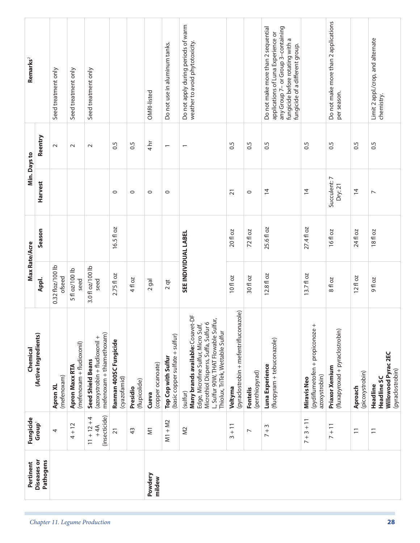|                               | Pertinent                       | Fungicide                               | Chemical                                                                                                                                                                                                        | Max Rate/Acre              |            | Min. Days to            |                          | Remarks <sup>2</sup>                                                                                                                                                                  |
|-------------------------------|---------------------------------|-----------------------------------------|-----------------------------------------------------------------------------------------------------------------------------------------------------------------------------------------------------------------|----------------------------|------------|-------------------------|--------------------------|---------------------------------------------------------------------------------------------------------------------------------------------------------------------------------------|
|                               | <b>Diseases or</b><br>Pathogens | Group <sup>1</sup>                      | (Active Ingredients)                                                                                                                                                                                            | Appl.                      | Season     | Harvest                 | Reentry                  |                                                                                                                                                                                       |
|                               |                                 | 4                                       | (mefenoxam)<br>Apron XL                                                                                                                                                                                         | 0.32 floz/100 lb<br>ofseed |            |                         | $\sim$                   | Seed treatment only                                                                                                                                                                   |
|                               |                                 | $4 + 12$                                | (mefenoxam + fludioxonil)<br><b>Apron Maxx RTA</b>                                                                                                                                                              | 5 fl oz/100 lb<br>seed     |            |                         | $\sim$                   | Seed treatment only                                                                                                                                                                   |
| Chapter 11. Legume Production |                                 | (insecticide)<br>$11 + 12 + 4$<br>$+4A$ | mefenoxam + thiamethoxam)<br>(azoxystrobin + fludioxonil +<br><b>Seed Shield Beans</b>                                                                                                                          | 3.0 fl oz/100 lb<br>seed   |            |                         | $\sim$                   | Seed treatment only                                                                                                                                                                   |
|                               |                                 | $\overline{21}$                         | Ranman 400SC Fungicide<br>(cyazofamid)                                                                                                                                                                          | 2.75 fl oz                 | 16.5 fl oz | $\circ$                 | 0.5                      |                                                                                                                                                                                       |
|                               |                                 | 43                                      | (flupicolide)<br>Presidio                                                                                                                                                                                       | 4 fl oz                    |            | $\circ$                 | 0.5                      |                                                                                                                                                                                       |
|                               | Powdery<br>mildew               | $\overline{\leq}$                       | (copper ocanoate)<br>Cueva                                                                                                                                                                                      | _<br>ფ<br>$\sim$           |            | $\circ$                 | $4 h$ r                  | OMRI-listed                                                                                                                                                                           |
|                               |                                 | $M1 + M2$                               | (basic copper sulfate + sulfur)<br>Top Cop with Sulfur                                                                                                                                                          | $2$ qt                     |            | $\circ$                 | $\overline{\phantom{0}}$ | Do not use in aluminum tanks.                                                                                                                                                         |
|                               |                                 | $\approx$                               | <b>Many brands available:</b> Cosavet-DF<br>Edge, Microfine Sulfur, Micro Sulf,<br>Microthiol Disperss, Suffa, Sulfur 6<br>L, Sulfur 90W, THAT Flowable Sulfur,<br>Thiolux, TriTek, Wettable Sulfur<br>(sulfur) | SEE INDIVIDUAL LABEL       |            |                         | $\overline{ }$           | Do not apply during periods of warm<br>weather to avoid phytotoxicity.                                                                                                                |
|                               |                                 | $\overline{1}$<br>$^{+}$<br>$\sim$      | (pyraclostrobin + mefentrifluconazole)<br>Veltyma                                                                                                                                                               | 10fl oz                    | 20 fl oz   | $\overline{2}1$         | $\ddot{0}$               |                                                                                                                                                                                       |
|                               |                                 | $\overline{ }$                          | (penthiopyrad)<br><b>Fontelis</b>                                                                                                                                                                               | 30 fl oz                   | 72fl oz    | $\circ$                 | 0.5                      |                                                                                                                                                                                       |
|                               |                                 | $7 + 3$                                 | (fluopyram + tebuconazole)<br>Luna Experience                                                                                                                                                                   | $12.8f$ loz                | 25.6 fl oz | $\overline{4}$          | $\frac{5}{2}$            | any Group 7- or Group 3-containing<br>Do not make more than 2 sequential<br>applications of Luna Experience or<br>fungicide before rotating with a<br>fungicide of a different group. |
|                               |                                 | $7 + 3 + 11$                            | (pydiflumetofen + propiconoze<br>azoxystrobin)<br><b>Miravis Neo</b>                                                                                                                                            | 13.7 fl oz                 | 27.4 fl oz | $\overline{4}$          | $\overline{0}$           |                                                                                                                                                                                       |
|                               |                                 | $7 + 11$                                | (fluxapyroxad + pyraclostrobin)<br>Priaxor Xemium                                                                                                                                                               | 8 fl oz                    | 16fl oz    | Succulent: 7<br>Dry: 21 | 0.5                      | Do not make more than 2 applications<br>per season.                                                                                                                                   |
|                               |                                 | $\overline{1}$                          | (picoxystrobin)<br>Aproach                                                                                                                                                                                      | $12f$ l oz                 | 24 fl oz   | $\overline{4}$          | $\overline{0}$ .5        |                                                                                                                                                                                       |
| 28                            |                                 | $\overline{1}$                          | Willowood Pyrac 2EC<br>(pyraclostrobin)<br><b>Headline SC</b><br>Headline                                                                                                                                       | 9fl oz                     | 18fl oz    | $\overline{ }$          | 0.5                      | Limit 2 appl./crop, and alternate<br>chemistry.                                                                                                                                       |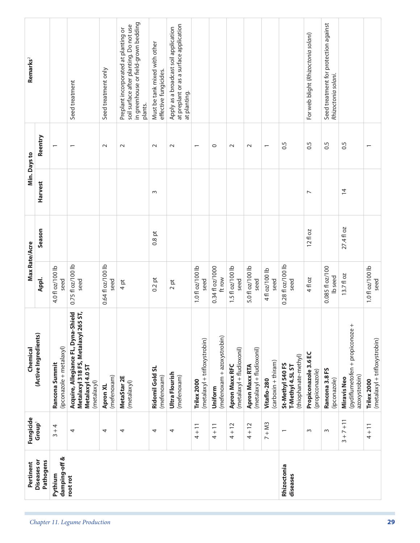| Remarks <sup>2</sup> |                          |                                            | Seed treatment                                                                                                | Seed treatment only       | in greenhouse or field-grown bedding<br>soil surface after planting. Do not use<br>Preplant incorporated at planting or<br>plants. | Must be tank mixed with other<br>effective fungicides. | at preplant or as a surface application<br>Apply as a broadcast soil application<br>at planting. |                                              |                                       |                                             |                                                    |                                    |                                                              | For web blight (Rhizoctonia solani)     | Seed treatment for protection against<br>Rhizoctonia solani. |                                                                 |                                              |
|----------------------|--------------------------|--------------------------------------------|---------------------------------------------------------------------------------------------------------------|---------------------------|------------------------------------------------------------------------------------------------------------------------------------|--------------------------------------------------------|--------------------------------------------------------------------------------------------------|----------------------------------------------|---------------------------------------|---------------------------------------------|----------------------------------------------------|------------------------------------|--------------------------------------------------------------|-----------------------------------------|--------------------------------------------------------------|-----------------------------------------------------------------|----------------------------------------------|
|                      | Reentry                  |                                            | $\overline{\phantom{0}}$                                                                                      | $\sim$                    | $\sim$                                                                                                                             | $\sim$                                                 | $\sim$                                                                                           | $\overline{\phantom{m}}$                     | $\circ$                               | $\sim$                                      | $\sim$                                             | $\overline{\phantom{0}}$           | 0.5                                                          | $\overline{0}$ .                        | $\sim$                                                       | 0.5                                                             | $\overline{\phantom{0}}$                     |
| Min. Days to         | <b>Harvest</b>           |                                            |                                                                                                               |                           |                                                                                                                                    | S                                                      |                                                                                                  |                                              |                                       |                                             |                                                    |                                    |                                                              | $\overline{\phantom{0}}$                |                                                              | $\overline{4}$                                                  |                                              |
|                      | Season                   |                                            |                                                                                                               |                           |                                                                                                                                    | $0.8$ pt                                               |                                                                                                  |                                              |                                       |                                             |                                                    |                                    |                                                              | $12f$ oz                                |                                                              | 27.4 fl oz                                                      |                                              |
| Max Rate/Acre        | Appl.                    | 4.0 fl oz/100 lb<br>seed                   | 0.75 fl oz/100 lb<br>seed                                                                                     | 0.64 fl oz/100 lb<br>seed | 4pt                                                                                                                                | $0.2$ pt                                               | $2$ pt                                                                                           | 1.0 fl oz/100 lb<br>seed                     | 0.34 fl oz/1000<br>ft row             | 1.5 fl oz/100 lb<br>seed                    | 5.0 fl oz/100 lb<br>seed                           | 4 fl oz/100 lb<br>seed             | 0.28 fl oz/100 lb<br>seed                                    | 4 fl oz                                 | 0.085 fl oz/100<br>Ib seed                                   | 13.7 fl oz                                                      | 1.0 fl oz/100 lb<br>seed                     |
| Chemical             | (Active Ingredients)     | (ipconazole + metalaxyl)<br>Rancona Summit | Acquire, Allegiance FL, Dyna-Shield<br>Metalaxyl 318 FS, Metalaxyl 265 ST,<br>Metalaxyl 4.0 ST<br>(metalaxyl) | (mefenoxam)<br>Apron XL   | MetaStar 2E<br>(metalaxyl)                                                                                                         | Ridomil Gold SL<br>(mefenoxam)                         | Ultra Flourish<br>(mefenoxam)                                                                    | (metalaxyl + trifloxystrobin)<br>Trilex 2000 | (mefenoxam + azoxystrobin)<br>Uniform | (metalaxyl + fludioxonil)<br>Apron Maxx RFC | (metalaxyl + fludioxonil)<br><b>Apron Maxx RTA</b> | (carboxin + thiram)<br>Vitaflo-280 | (thiophanate-methyl)<br>St-Methyl 540 FS<br>T-Methyl 4.5L ST | Propiconazole 3.6 EC<br>(propiconazole) | Rancona 3.8 FS<br>(ipconazole)                               | (pydiflumetofen + propiconoze +<br>azoxystrobin)<br>Miravis Neo | (metalaxyl + trifloxystrobin)<br>Trilex 2000 |
| Fungicide            | Group <sup>1</sup>       | $3 + 4$                                    | 4                                                                                                             | 4                         | 4                                                                                                                                  | 4                                                      | 4                                                                                                | $4 + 11$                                     | $4 + 11$                              | $4 + 12$                                    | $4 + 12$                                           | $7 + M3$                           | $\overline{\phantom{0}}$                                     | $\sim$                                  | $\sim$                                                       | $+7+11$<br>$\sim$                                               | $4 + 11$                                     |
| Pertinent            | Diseases or<br>Pathogens | damping-off &<br>Pythium                   | root rot                                                                                                      |                           |                                                                                                                                    |                                                        |                                                                                                  |                                              |                                       |                                             |                                                    |                                    | Rhizoctonia<br>diseases                                      |                                         |                                                              |                                                                 |                                              |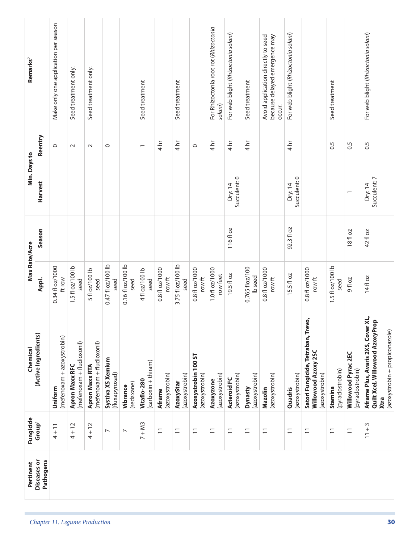|                               | Pertinent                | Fungicide                                      | Chemical                                                                                                        | Max Rate/Acre                        |            | Min. Days to           |                            | Remarks <sup>2</sup>                                                          |
|-------------------------------|--------------------------|------------------------------------------------|-----------------------------------------------------------------------------------------------------------------|--------------------------------------|------------|------------------------|----------------------------|-------------------------------------------------------------------------------|
|                               | Diseases or<br>Pathogens | Group <sup>1</sup>                             | (Active Ingredients)                                                                                            | Appl.                                | Season     | Harvest                | Reentry                    |                                                                               |
|                               |                          | $4 + 11$                                       | (mefenoxam + azoxystrobin)<br>Uniform                                                                           | 0.34 fl oz/1000<br>ft row            |            |                        | $\circ$                    | Make only one application per season                                          |
|                               |                          | $4 + 12$                                       | (mefenoxam + fludioxonil)<br>Apron Maxx RFC                                                                     | 1.5 fl oz/100 lb<br>seed             |            |                        | $\sim$                     | Seed treatment only.                                                          |
| Chapter 11. Legume Production |                          | $4 + 12$                                       | (mefenoxam + fludioxonil)<br><b>Apron Maxx RTA</b>                                                              | 5 fl oz/100 lb<br>seed               |            |                        | $\sim$                     | Seed treatment only                                                           |
|                               |                          | $\overline{\phantom{0}}$                       | Systiva XS Xemium<br>(fluxapyroxad)                                                                             | 0.47 fl oz/100 lb<br>seed            |            |                        | $\circ$                    |                                                                               |
|                               |                          | $\overline{ }$                                 | (sedaxane)<br>Vibrance                                                                                          | 0.16 fl oz/100 lb<br>seed            |            |                        |                            |                                                                               |
|                               |                          | $7 + M3$                                       | (carboxin + thiram)<br>Vitaflo-280                                                                              | 4 fl oz/100 lb<br>seed               |            |                        | $\overline{\phantom{0}}$   | Seed treatment                                                                |
|                               |                          | $\overline{1}$                                 | (azoxystrobin)<br><b>Aframe</b>                                                                                 | 0.8 fl oz/1000<br>row ft             |            |                        | 4hr                        |                                                                               |
|                               |                          | $\overline{1}$                                 | (azoxystrobin)<br>AzoxyStar                                                                                     | 3.75 fl oz/100 lb<br>seed            |            |                        | $4 h$ r                    | Seed treatment                                                                |
|                               |                          | $\overline{1}$                                 | Azoxystrobin 100 ST<br>(azoxystrobin)                                                                           | 0.8 fl oz/1000<br>row ft             |            |                        | $\circ$                    |                                                                               |
|                               |                          | $\overline{\overline{\phantom{0}}\phantom{0}}$ | (azoxystrobin)<br>Azoxyzone                                                                                     | 1.0 fl oz/1000<br>row feet           |            |                        | $4 h$ r                    | For Rhizoctonia root rot (Rhizoctonia<br>solani)                              |
|                               |                          | $\overline{1}$                                 | (azoxystrobin)<br>Azteroid FC                                                                                   | 19.5 fl oz                           | 116fl oz   | Succulent: 0<br>Dry:14 | $4 \overline{\text{hr}}$   | For web blight (Rhizoctonia solani)                                           |
|                               |                          | $\overline{1}$                                 | (azoxystrobin)<br>Dynasty                                                                                       | 0.765 floz/100<br>Ib <sub>seed</sub> |            |                        | $4 \overline{\text{hr}}$   | Seed treatment                                                                |
|                               |                          | $\overline{1}$                                 | (azoxystrobin)<br>Mazolin                                                                                       | 0.8 fl oz/1000<br>row ft             |            |                        |                            | Avoid application directly to seed<br>because delayed emergence may<br>occur. |
|                               |                          | $\overline{1}$                                 | (azoxystrobin)<br>Quadris                                                                                       | 15.5 fl oz                           | 92.3 fl oz | Succulent: 0<br>Dry:14 | $4 \overline{\phantom{1}}$ | For web blight ( <i>Rhizoctonia solani</i> )                                  |
|                               |                          | $\overline{1}$                                 | Satori Fungicide, Tetraban, Trevo,<br>Willowood Azoxy 2SC<br>(azoxystrobin)                                     | 0.8 fl oz/1000<br>row ft             |            |                        |                            |                                                                               |
|                               |                          | $\overline{1}$                                 | (pyraclostrobin)<br>Stamina                                                                                     | 1.5 fl oz/100 lb<br>seed             |            |                        | 0.5                        | Seed treatment                                                                |
|                               |                          | $\overline{1}$                                 | Willowood Pyrac 2EC<br>(pyraclostrobin)                                                                         | 20 H 6                               | 18fl oz    | $\overline{ }$         | 0.5                        |                                                                               |
| 30                            |                          | $\sim$<br>$\frac{+}{-}$                        | Aframe Plus, Avaris 2XS, Cover XL,<br>Quilt Xcel, Willowood AzoxyProp<br>(azoxystrobin + propiconazole)<br>Xtra | 14fl oz                              | 42 fl oz   | Succulent: 7<br>Dry:14 | 0.5                        | For web blight (Rhizoctonia solani)                                           |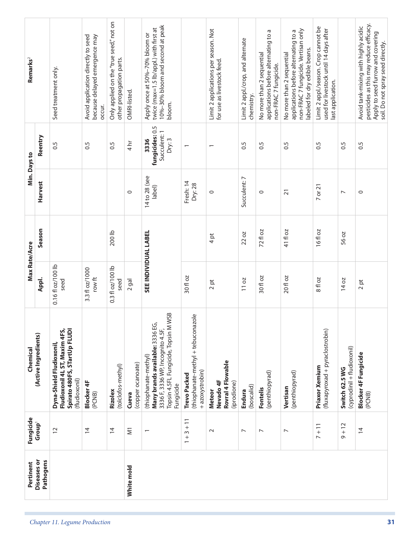| Remarks <sup>2</sup><br>Min. Days to | Reentry                         | Seed treatment only.<br>0.5                                                                                | Avoid application directly to seed<br>because delayed emergence may<br>occur.<br>0.5 | Only applied on the "true seed," not on<br>other propagation parts.<br>0.5 | OMRI-listed.<br>$\frac{4}{n}$ | 10%-30% bloom and second at peak<br>twice (max=1.5 lb/appl.) with first at<br>Apply once at 50%-70% bloom or<br>bloom.<br>fungicides: 0.5<br>Succulent: 1<br>Dry: 3<br>3336 | $\overline{ }$                                                               | Limit 2 applications per season. Not<br>for use as livestock feed.<br>$\overline{\phantom{0}}$ | Limit 2 appl./crop, and alternate<br>chemistry.<br>$\ddot{0}$ | Б<br>applications before alternating to<br>No more than 2 sequential<br>non-FRAC 7 fungicide.<br>0.5 | non-FRAC 7 fungicide. Vertisan only<br>applications before alternating to a<br>abeled for dry edible beans.<br>No more than 2 sequential<br>0.5 | Limit 2 appl./season. Crop cannot be<br>used for livestock until 14 days after<br>last application.<br>$\overline{0}$ | $\ddot{0}$                                   | pesticides as this may reduce efficacy.<br>Avoid tank-mixing with highly acidic<br>Apply to seed furrow and covering<br>0.5 |
|--------------------------------------|---------------------------------|------------------------------------------------------------------------------------------------------------|--------------------------------------------------------------------------------------|----------------------------------------------------------------------------|-------------------------------|-----------------------------------------------------------------------------------------------------------------------------------------------------------------------------|------------------------------------------------------------------------------|------------------------------------------------------------------------------------------------|---------------------------------------------------------------|------------------------------------------------------------------------------------------------------|-------------------------------------------------------------------------------------------------------------------------------------------------|-----------------------------------------------------------------------------------------------------------------------|----------------------------------------------|-----------------------------------------------------------------------------------------------------------------------------|
|                                      | <b>Harvest</b>                  |                                                                                                            |                                                                                      |                                                                            | $\circ$                       | 14 to 28 (see<br>(label                                                                                                                                                     | Fresh: 14<br>Dry: 28                                                         | $\circ$                                                                                        | Succulent: 7                                                  | $\circ$                                                                                              | $\overline{2}1$                                                                                                                                 | 7 or 21                                                                                                               | $\overline{ }$                               | $\circ$                                                                                                                     |
|                                      | Season                          |                                                                                                            |                                                                                      | 200 lb                                                                     |                               |                                                                                                                                                                             |                                                                              | 4pt                                                                                            | 22 oz                                                         | 72 fl oz                                                                                             | 41 fl oz                                                                                                                                        | 16fl oz                                                                                                               | 56 oz                                        |                                                                                                                             |
| Max Rate/Acre                        | Appl.                           | 0.16 fl oz/100 lb<br>seed                                                                                  | 3.3 fl oz/1000<br>row ft                                                             | 0.3 fl oz/100 lb<br>seed                                                   | $2$ gal                       | <b>SEE INDIVIDUAL LABEL</b>                                                                                                                                                 | 30 fl oz                                                                     | 2 pt                                                                                           | 11 oz                                                         | 30 fl oz                                                                                             | 20 fl oz                                                                                                                                        | 8 fl oz                                                                                                               | 14 oz                                        | $2$ pt                                                                                                                      |
| Chemical                             | (Active Ingredients)            | Spirato 480FS, STartUp FLUDI<br>Fludioxonil 4L ST, Maxim 4FS,<br>Dyna-Shield Fludioxonil,<br>(fludioxonil) | <b>Blocker 4F</b><br>(PCNB)                                                          | (tolclofos-methyl)<br>Rizolex                                              | (copper ocanoate)<br>Cueva    | WSB<br>Many brands available: 3336 EG<br>Topsin 4.5FL Fungicide, Topsin M<br>3336 F, 3336 WP, Incognito 4.5F,<br>(thiophanate-methyl)<br>Fungicide                          | (thiophanate-methyl + tebuconazole<br>+ azoxystrobin)<br><b>Trevo Packed</b> | Rovral 4 Flowable<br>Nevado 4F<br>(iprodione)<br>Meteor                                        | (boscalid)<br>Endura                                          | (penthiopyrad)<br>Fontelis                                                                           | (penthiopyrad)<br>Vertisan                                                                                                                      | (fluxapyroxad + pyraclostrobin)<br>Priaxor Xemium                                                                     | (cyprodinil + fludioxonil)<br>Switch 62.5 WG | <b>Blocker 4F Fungicide</b><br>(PCNB)                                                                                       |
| Fungicide                            | Group <sup>1</sup>              | $\overline{c}$                                                                                             | $\overline{4}$                                                                       | $\overline{4}$                                                             | $\overline{\Sigma}$           | $\overline{ }$                                                                                                                                                              | $3 + 11$<br>$\frac{+}{-}$                                                    | $\sim$                                                                                         | $\overline{ }$                                                | $\overline{ }$                                                                                       | $\overline{ }$                                                                                                                                  | $7 + 11$                                                                                                              | $9 + 12$                                     | $\overline{4}$                                                                                                              |
| Pertinent                            | <b>Diseases or</b><br>Pathogens |                                                                                                            |                                                                                      |                                                                            | White mold                    |                                                                                                                                                                             |                                                                              |                                                                                                |                                                               |                                                                                                      |                                                                                                                                                 |                                                                                                                       |                                              |                                                                                                                             |